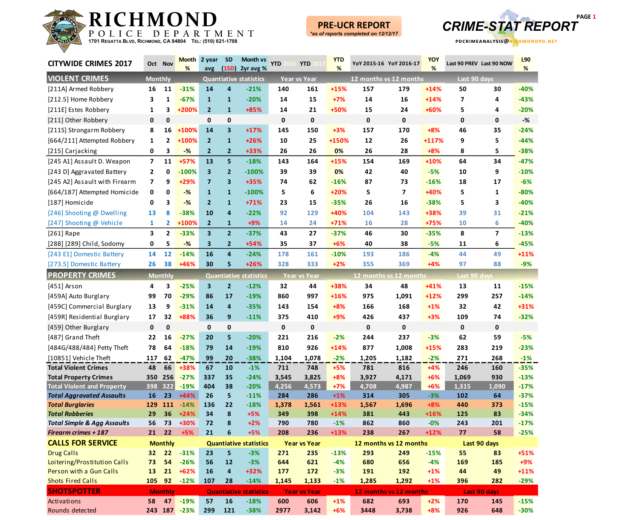



| <b>CITYWIDE CRIMES 2017</b>                       |                 | Oct Nov        | <b>Month</b><br>% | 2 year<br>avg           | <b>SD</b><br>(1SD)      | <b>Month vs</b><br>2yr avg %  | <b>YTD</b>   | <b>YTD</b>          | <b>YTD</b><br>% |              | YoY 2015-16 YoY 2016-17 | YOY<br>%       |                          | Last 90 PREV Last 90 NOW | L90<br>%         |
|---------------------------------------------------|-----------------|----------------|-------------------|-------------------------|-------------------------|-------------------------------|--------------|---------------------|-----------------|--------------|-------------------------|----------------|--------------------------|--------------------------|------------------|
| <b>VIOLENT CRIMES</b>                             | <b>Monthly</b>  |                |                   |                         |                         | <b>Quantiative statistics</b> |              | <b>Year vs Year</b> |                 |              | 12 months vs 12 months  |                | Last 90 days             |                          |                  |
| [211A] Armed Robbery                              | 16              | 11             | $-31%$            | 14                      | $\overline{4}$          | $-21%$                        | 140          | 161                 | $+15%$          | 157          | 179                     | $+14%$         | 50                       | 30                       | $-40%$           |
| [212.5] Home Robbery                              | 3               | 1              | $-67%$            | $\mathbf{1}$            | $\mathbf{1}$            | $-20%$                        | 14           | 15                  | $+7%$           | 14           | 16                      | $+14%$         | $\overline{\phantom{a}}$ | 4                        | $-43%$           |
| [211E] Estes Robbery                              | 1               | 3              | +200%             | $\overline{2}$          | $\mathbf{1}$            | +85%                          | 14           | 21                  | +50%            | 15           | 24                      | +60%           | 5                        | 4                        | $-20%$           |
| [211] Other Robbery                               | 0               | 0              |                   | 0                       | $\pmb{0}$               |                               | 0            | $\pmb{0}$           |                 | $\mathbf{0}$ | $\mathbf 0$             |                | $\mathbf 0$              | $\mathbf 0$              | $-%$             |
| [211S] Strongarm Robbery                          | 8               | 16             | +100%             | 14                      | $\mathbf{3}$            | $+17%$                        | 145          | 150                 | $+3%$           | 157          | 170                     | $+8%$          | 46                       | 35                       | $-24%$           |
| [664/211] Attempted Robbery                       | 1               | $\overline{2}$ | +100%             | $\overline{2}$          | $\mathbf{1}$            | $+26%$                        | 10           | 25                  | +150%           | 12           | 26                      | +117%          | 9                        | 5                        | $-44%$           |
| [215] Carjacking                                  | 0               | 3              | $-%$              | $\overline{2}$          | $\overline{2}$          | +33%                          | 26           | 26                  | 0%              | 26           | 28                      | $+8%$          | 8                        | 5                        | $-38%$           |
| [245 A1] Assault D. Weapon                        | 7               | 11             | +57%              | 13                      | 5                       | $-18%$                        | 143          | 164                 | $+15%$          | 154          | 169                     | +10%           | 64                       | 34                       | $-47%$           |
| [243 D] Aggravated Battery                        | $\mathbf{2}$    | 0              | $-100%$           | 3                       | $\overline{2}$          | $-100%$                       | 39           | 39                  | 0%              | 42           | 40                      | $-5%$          | 10                       | 9                        | $-10%$           |
| [245 A2] Assault with Firearm                     | 7               | 9              | +29%              | $\overline{7}$          | $\overline{\mathbf{3}}$ | +35%                          | 74           | 62                  | $-16%$          | 87           | 73                      | $-16%$         | 18                       | 17                       | $-6%$            |
| [664/187] Attempted Homicide                      | 0               | 0              | $-%$              | $\mathbf{1}$            | $\mathbf{1}$            | $-100%$                       | 5            | 6                   | +20%            | 5.           | $\overline{\mathbf{z}}$ | +40%           | 5                        | 1                        | $-80%$           |
| [187] Homicide                                    | 0               | 3              | $-%$              | $\overline{2}$          | $\mathbf{1}$            | $+71%$                        | 23           | 15                  | $-35%$          | 26           | 16                      | $-38%$         | 5                        | 3                        | $-40%$           |
| [246] Shooting @ Dwelling                         | 13              | 8              | $-38%$            | 10                      | 4                       | $-22%$                        | 92           | 129                 | +40%            | 104          | 143                     | +38%           | 39                       | 31                       | $-21%$           |
| [247] Shooting @ Vehicle                          | 1               | 2              | +100%             | $\overline{2}$          | $\mathbf{1}$            | $+9%$                         | 14           | 24                  | $+71%$          | 16           | 28                      | +75%           | 10                       | 6                        | $-40%$           |
| [261] Rape                                        | 3               | $\overline{2}$ | $-33%$            | $\overline{\mathbf{3}}$ | $\overline{2}$          | $-37%$                        | 43           | 27                  | $-37%$          | 46           | 30                      | $-35%$         | 8                        | $\overline{\mathbf{z}}$  | $-13%$           |
| [288] [289] Child, Sodomy                         | 0               | 5              | $-$ %             | 3                       | $\overline{2}$          | +54%                          | 35           | 37                  | $+6%$           | 40           | 38                      | $-5%$          | 11                       | 6                        | $-45%$           |
| [243 E1] Domestic Battery                         | 14              | 12             | $-14%$            | 16                      | $\overline{4}$          | $-24%$                        | 178          | 161                 | $-10%$          | 193          | 186                     | $-4%$          | 44                       | 49                       | $+11%$           |
| [273.5] Domestic Battery                          | 26              | 38             | +46%              | 30                      | 5                       | $+26%$                        | 328          | 333                 | $+2%$           | 355          | 369                     | $+4%$          | 97                       | 88                       | $-9%$            |
| <b>PROPERTY CRIMES</b>                            |                 | <b>Monthly</b> |                   |                         |                         | <b>Quantiative statistics</b> |              | <b>Year vs Year</b> |                 |              | 12 months vs 12 months  |                | Last 90 days             |                          |                  |
| [451] Arson                                       | 4               | 3              | $-25%$            | $\mathbf{3}$            | $\overline{2}$          | $-12%$                        | 32           | 44                  | +38%            | 34           | 48                      | $+41%$         | 13                       | 11                       | $-15%$           |
| [459A] Auto Burglary                              | 99              | 70             | $-29%$            | 86                      | 17                      | $-19%$                        | 860          | 997                 | +16%            | 975          | 1,091                   | $+12%$         | 299                      | 257                      | $-14%$           |
| [459C] Commercial Burglary                        | 13              | 9              | $-31%$            | 14                      | $\overline{4}$          | $-35%$                        | 143          | 154                 | $+8%$           | 166          | 168                     | $+1%$          | 32                       | 42                       | +31%             |
| [459R] Residential Burglary                       | 17              | 32             | +88%              | 36                      | 9                       | $-11%$                        | 375          | 410                 | +9%             | 426          | 437                     | $+3%$          | 109                      | 74                       | $-32%$           |
| [459] Other Burglary                              | 0               | 0              |                   | 0                       | $\mathbf 0$             |                               | 0            | $\mathbf 0$         |                 | 0            | $\mathbf 0$             |                | $\mathbf 0$              | $\mathbf 0$              |                  |
| [487] Grand Theft                                 | 22              | 16             | $-27%$            | 20                      | 5                       | $-20%$                        | 221          | 216                 | $-2%$           | 244          | 237                     | $-3%$          | 62                       | 59                       | $-5%$            |
| [484G/488/484] Petty Theft                        | 78              | 64             | $-18%$            | 79                      | 14                      | $-19%$                        | 810          | 926                 | $+14%$          | 877          | 1,008                   | $+15%$         | 283                      | 219                      | $-23%$           |
| [10851] Vehicle Theft                             | 117             | 62             | $-47%$            | 99                      | 20                      | $-38%$                        | 1,104        | 1,078               | $-2%$           | 1,205        | 1,182                   | $-2%$          | 271                      | 268                      | $-1%$            |
| <b>Total Violent Crimes</b>                       | 48              | 66             | +38%              | 67                      | 10                      | $-1%$                         | 711          | 748                 | $+5%$           | 781          | 816                     | $+4%$          | 246                      | 160                      | $-35%$           |
| <b>Total Property Crimes</b>                      | 350             | 256            | $-27%$            | 337                     | 35                      | $-24%$                        | 3,545        | 3,825               | $+8%$           | 3,927        | 4,171                   | $+6%$          | 1,069                    | 930                      | $-13%$           |
| <b>Total Violent and Property</b>                 | 398             | 322            | $-19%$            | 404                     | 38                      | $-20%$                        | 4,256        | 4,573               | $+7%$           | 4,708        | 4,987                   | $+6%$          | 1,315                    | 1,090                    | $-17%$           |
| <b>Total Aggravated Assaults</b>                  | 16              | 23             | $+44%$            | 26                      | 5<br>22                 | $-11%$                        | 284          | 286                 | $+1\%$          | 314          | 305                     | $-3%$<br>$+8%$ | 102                      | 64                       | $-37%$           |
| <b>Total Burglaries</b><br><b>Total Robberies</b> | 129<br>29       | 111<br>36      | $-14%$<br>$+24%$  | 136<br>34               | 8                       | $-18%$<br>$+5%$               | 1,378<br>349 | 1,561<br>398        | +13%<br>$+14%$  | 1,567<br>381 | 1,696<br>443            | $+16%$         | 440<br>125               | 373<br>83                | $-15%$<br>$-34%$ |
| <b>Total Simple &amp; Agg Assaults</b>            | 56              | 73             | +30%              | 72                      | 8                       | $+2%$                         | 790          | 780                 | $-1%$           | 862          | 860                     | $-0%$          | 243                      | 201                      | $-17%$           |
| Firearm crimes + 187                              | 21              | 22             | $+5%$             | 21                      | 6                       | $+5%$                         | 208          | 236                 | $+13%$          | 238          | 267                     | $+12%$         | 77                       | 58                       | $-25%$           |
| <b>CALLS FOR SERVICE</b>                          |                 | <b>Monthly</b> |                   |                         |                         | <b>Quantiative statistics</b> |              | <b>Year vs Year</b> |                 |              | 12 months vs 12 months  |                |                          | Last 90 days             |                  |
| <b>Drug Calls</b>                                 | 32 <sub>2</sub> | 22             | $-31%$            | 23                      | 5                       | $-3%$                         | 271          | 235                 | $-13%$          | 293          | 249                     | $-15%$         | 55                       | 83                       | +51%             |
| Loitering/Prostitution Calls                      | 73              | 54             | $-26%$            | 56                      | 12                      | $-3%$                         | 644          | 621                 | $-4%$           | 680          | 656                     | $-4%$          | 169                      | 185                      | $+9%$            |
| Person with a Gun Calls                           | 13              | 21             | $+62%$            | <b>16</b>               | $\overline{\mathbf{4}}$ | +32%                          | 177          | 172                 | $-3%$           | 191          | 192                     | $+1%$          | 44                       | 49                       | $+11%$           |
| <b>Shots Fired Calls</b>                          | 105             | 92             | $-12%$            | 107                     | 28                      | $-14%$                        | 1,145        | 1,133               | $-1%$           | 1,285        | 1,292                   | $+1%$          | 396                      | 282                      | $-29%$           |
| <b>SHOTSPOTTER</b>                                |                 | <b>Monthly</b> |                   |                         |                         | <b>Quantiative statistics</b> |              | <b>Year vs Year</b> |                 |              | 12 months vs 12 months  |                |                          | Last 90 days             |                  |
| Activations                                       | 58              | 47             | $-19%$            | 57                      | 16                      | $-18%$                        | 600          | 606                 | $+1\%$          | 682          | 693                     | $+2%$          | 170                      | 145                      | $-15%$           |
| Rounds detected                                   |                 |                | 243 187 -23%      | 299                     | 121                     | $-38%$                        | 2977         | 3,142               | $+6%$           | 3448         | 3,738                   | $+8%$          | 926                      | 648                      | $-30%$           |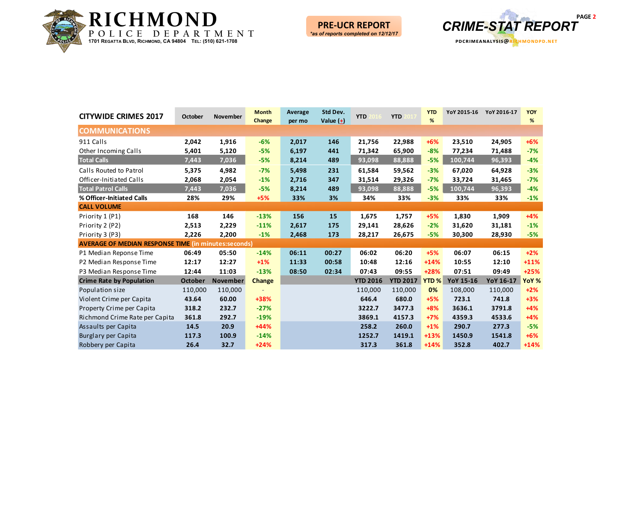



| <b>CITYWIDE CRIMES 2017</b>                                 | <b>October</b> | <b>November</b> | <b>Month</b><br>Change | Average<br>per mo | <b>Std Dev.</b><br>Value $(\pm)$ | <b>YTD</b>      | <b>YTD</b>      | <b>YTD</b><br>% | YoY 2015-16      | YoY 2016-17 | <b>YOY</b><br>% |
|-------------------------------------------------------------|----------------|-----------------|------------------------|-------------------|----------------------------------|-----------------|-----------------|-----------------|------------------|-------------|-----------------|
| <b>COMMUNICATIONS</b>                                       |                |                 |                        |                   |                                  |                 |                 |                 |                  |             |                 |
| 911 Calls                                                   | 2,042          | 1,916           | $-6%$                  | 2,017             | 146                              | 21,756          | 22,988          | $+6%$           | 23,510           | 24,905      | $+6%$           |
| Other Incoming Calls                                        | 5,401          | 5,120           | $-5%$                  | 6,197             | 441                              | 71,342          | 65,900          | $-8%$           | 77,234           | 71,488      | $-7%$           |
| <b>Total Calls</b>                                          | 7,443          | 7,036           | $-5%$                  | 8,214             | 489                              | 93,098          | 88,888          | $-5%$           | 100,744          | 96,393      | $-4%$           |
| Calls Routed to Patrol                                      | 5,375          | 4,982           | $-7%$                  | 5,498             | 231                              | 61,584          | 59,562          | $-3%$           | 67,020           | 64,928      | $-3%$           |
| Officer-Initiated Calls                                     | 2,068          | 2,054           | $-1%$                  | 2,716             | 347                              | 31,514          | 29,326          | $-7%$           | 33,724           | 31,465      | $-7%$           |
| <b>Total Patrol Calls</b>                                   | 7,443          | 7,036           | $-5%$                  | 8,214             | 489                              | 93,098          | 88,888          | $-5%$           | 100,744          | 96,393      | $-4%$           |
| % Officer-Initiated Calls                                   | 28%            | 29%             | $+5%$                  | 33%               | 3%                               | 34%             | 33%             | $-3%$           | 33%              | 33%         | $-1%$           |
| <b>CALL VOLUME</b>                                          |                |                 |                        |                   |                                  |                 |                 |                 |                  |             |                 |
| Priority 1 (P1)                                             | 168            | 146             | $-13%$                 | 156               | 15                               | 1,675           | 1,757           | $+5%$           | 1,830            | 1,909       | $+4%$           |
| Priority 2 (P2)                                             | 2,513          | 2,229           | $-11%$                 | 2,617             | 175                              | 29,141          | 28,626          | $-2%$           | 31,620           | 31,181      | $-1%$           |
| Priority 3 (P3)                                             | 2,226          | 2,200           | $-1%$                  | 2,468             | 173                              | 28,217          | 26,675          | $-5%$           | 30,300           | 28,930      | $-5%$           |
| <b>AVERAGE OF MEDIAN RESPONSE TIME (in minutes:seconds)</b> |                |                 |                        |                   |                                  |                 |                 |                 |                  |             |                 |
| P1 Median Reponse Time                                      | 06:49          | 05:50           | $-14%$                 | 06:11             | 00:27                            | 06:02           | 06:20           | $+5%$           | 06:07            | 06:15       | $+2%$           |
| P2 Median Response Time                                     | 12:17          | 12:27           | $+1%$                  | 11:33             | 00:58                            | 10:48           | 12:16           | $+14%$          | 10:55            | 12:10       | $+11%$          |
| P3 Median Response Time                                     | 12:44          | 11:03           | $-13%$                 | 08:50             | 02:34                            | 07:43           | 09:55           | $+28%$          | 07:51            | 09:49       | $+25%$          |
| <b>Crime Rate by Population</b>                             | <b>October</b> | <b>November</b> | <b>Change</b>          |                   |                                  | <b>YTD 2016</b> | <b>YTD 2017</b> | <b>YTD%</b>     | <b>YoY 15-16</b> | YoY 16-17   | YoY %           |
| Population size                                             | 110,000        | 110,000         |                        |                   |                                  | 110,000         | 110,000         | 0%              | 108,000          | 110,000     | $+2%$           |
| Violent Crime per Capita                                    | 43.64          | 60.00           | +38%                   |                   |                                  | 646.4           | 680.0           | $+5%$           | 723.1            | 741.8       | $+3%$           |
| Property Crime per Capita                                   | 318.2          | 232.7           | $-27%$                 |                   |                                  | 3222.7          | 3477.3          | $+8%$           | 3636.1           | 3791.8      | $+4%$           |
| Richmond Crime Rate per Capita                              | 361.8          | 292.7           | $-19%$                 |                   |                                  | 3869.1          | 4157.3          | $+7%$           | 4359.3           | 4533.6      | $+4%$           |
| Assaults per Capita                                         | 14.5           | 20.9            | $+44%$                 |                   |                                  | 258.2           | 260.0           | $+1%$           | 290.7            | 277.3       | $-5%$           |
| Burglary per Capita                                         | 117.3          | 100.9           | $-14%$                 |                   |                                  | 1252.7          | 1419.1          | $+13%$          | 1450.9           | 1541.8      | $+6%$           |
| Robbery per Capita                                          | 26.4           | 32.7            | $+24%$                 |                   |                                  | 317.3           | 361.8           | $+14%$          | 352.8            | 402.7       | $+14%$          |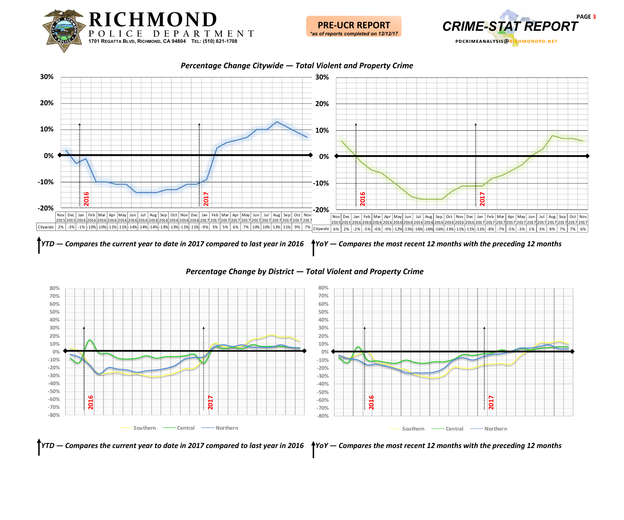





*Percentage Change Citywide — Total Violent and Property Crime*

#### *Percentage Change by District — Total Violent and Property Crime*

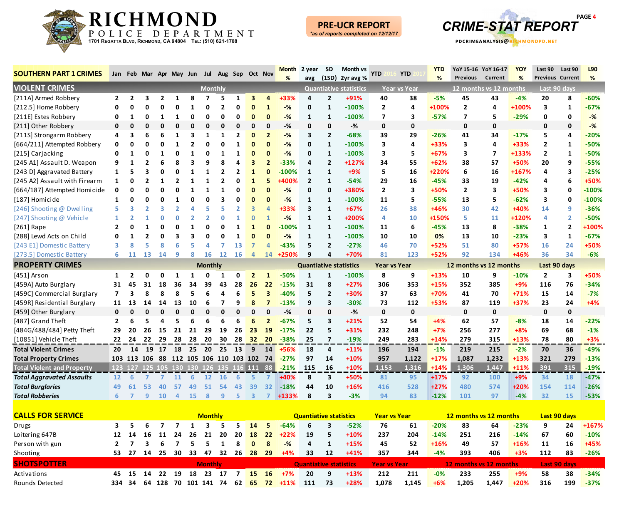



| <b>SOUTHERN PART 1 CRIMES</b>     |                 |                |              |                 | Jan Feb Mar Apr May Jun Jul Aug Sep Oct Nov |              |                |                |    |              |                | Month 2 year                  |                               | -SD            | Month vs                                           | <b>YTD</b>          | <b>YTD</b>          | <b>YTD</b> |                        | YoY 15-16 YoY 16-17                      | <b>YOY</b> | Last 90                 | Last 90             | L90     |
|-----------------------------------|-----------------|----------------|--------------|-----------------|---------------------------------------------|--------------|----------------|----------------|----|--------------|----------------|-------------------------------|-------------------------------|----------------|----------------------------------------------------|---------------------|---------------------|------------|------------------------|------------------------------------------|------------|-------------------------|---------------------|---------|
| <b>VIOLENT CRIMES</b>             |                 |                |              |                 |                                             |              | <b>Monthly</b> |                |    |              |                | %                             | avg                           |                | $(1SD)$ 2yr avg %<br><b>Quantiative statistics</b> |                     | <b>Year vs Year</b> | %          | <b>Previous</b>        | <b>Current</b><br>12 months vs 12 months | %          | <b>Previous Current</b> | Last 90 days        | %       |
| [211A] Armed Robbery              | $\mathbf{2}$    | $\overline{2}$ | 3            | $\mathbf{2}$    | 1                                           | 8            | 7              | 5              | 1  |              | 4              | +33%                          | 4                             | $\overline{2}$ | +91%                                               | 40                  | 38                  | $-5%$      | 45                     | 43                                       | $-4%$      | 20                      | 8                   | $-60%$  |
| [212.5] Home Robbery              | 0               | 0              | 0            | ŋ               | 0                                           | 1            | 0              | $\overline{2}$ | 0  |              |                | $-%$                          | 0                             | 1              | $-100%$                                            | $\mathbf{2}$        | 4                   | +100%      | $\mathbf{2}$           | 4                                        | +100%      | 3                       | 1                   | $-67%$  |
| [211E] Estes Robbery              | 0               |                | 0            |                 | 1                                           | 0            | 0              | 0              | 0  |              |                | $-%$                          | 1                             | 1              | $-100%$                                            | 7                   | 3                   | $-57%$     | 7                      | 5                                        | $-29%$     | 0                       | 0                   | $-%$    |
| [211] Other Robbery               |                 | 0              | ი            |                 | 0                                           | 0            |                | 0              |    |              |                | -%                            | 0                             | 0              | $-%$                                               | 0                   | 0                   |            | 0                      | 0                                        |            | 0                       | 0                   | $-%$    |
| [211S] Strongarm Robbery          | 4               |                | 6            |                 |                                             | 3            | 1              | 1              |    |              |                | $-%$                          | 3                             | $\overline{2}$ | $-68%$                                             | 39                  | 29                  | $-26%$     | 41                     | 34                                       | $-17%$     | 5                       | 4                   | $-20%$  |
| [664/211] Attempted Robbery       |                 | 0              |              |                 |                                             |              |                |                |    |              |                | $-\frac{9}{6}$                | 0                             | 1              | $-100%$                                            | 3                   | 4                   | +33%       | 3                      | 4                                        | +33%       | $\overline{2}$          | 1                   | $-50%$  |
| [215] Carjacking                  | 0               |                | 0            |                 | 0                                           |              |                |                |    |              |                | $-\frac{9}{6}$                | 0                             | 1              | $-100%$                                            | 3                   | 5                   | $+67%$     | 3                      | 7                                        | +133%      | $\overline{2}$          | 1                   | $-50%$  |
| [245 A1] Assault D. Weapon        |                 | 1              |              |                 | 8                                           |              |                |                |    |              |                | $-33%$                        | 4                             | $\overline{2}$ | $+127%$                                            | 34                  | 55                  | $+62%$     | 38                     | 57                                       | +50%       | 20                      | 9                   | $-55%$  |
| [243 D] Aggravated Battery        | 1               | 5              | 3            | O               | 0                                           | -1           | 1              | 2              |    |              |                | -100%                         | 1                             | 1              | $+9%$                                              | 5                   | 16                  | +220%      | 6                      | 16                                       | +167%      | 4                       | 3                   | $-25%$  |
| [245 A2] Assault with Firearm     | 1               | 0              | 2            |                 | 2                                           |              |                |                |    |              |                | 400%                          | $\overline{2}$                | 1              | $-54%$                                             | 29                  | 16                  | $-45%$     | 33                     | 19                                       | $-42%$     |                         | 6                   | +50%    |
| [664/187] Attempted Homicide      | 0               | 0              | ŋ            |                 | O                                           |              |                |                |    |              |                | -%                            | 0                             | 0              | +380%                                              | $\overline{2}$      | 3                   | +50%       | 2                      | 3                                        | +50%       | 3                       | 0                   | $-100%$ |
| [187] Homicide                    | 1               | ŋ              |              |                 |                                             | O            |                |                |    |              |                | $-%$                          | 1                             | 1              | $-100%$                                            | 11                  | 5                   | $-55%$     | 13                     | 5                                        | $-62%$     | 3                       | 0                   | $-100%$ |
| [246] Shooting @ Dwelling         |                 |                |              |                 |                                             |              |                |                |    |              |                | +33%                          | 3                             | 1              | $+67%$                                             | 26                  | 38                  | +46%       | 30                     | 42                                       | +40%       | 14                      | 9                   | $-36%$  |
| [247] Shooting @ Vehicle          |                 |                |              |                 |                                             |              |                |                |    |              |                | $-\frac{9}{6}$                |                               | 1              | +200%                                              | 4                   | 10                  | +150%      | 5.                     | 11                                       | +120%      | 4                       | $\overline{2}$      | $-50%$  |
| [261] Rape                        | 2               | ŋ              |              |                 | Ω                                           |              |                |                |    |              |                | -100%                         | 1                             | 1              | $-100%$                                            | 11                  | 6                   | $-45%$     | 13                     | 8                                        | $-38%$     | 1                       | $\overline{2}$      | +100%   |
| [288] Lewd Acts on Child          | O               | 1              | 2            |                 |                                             |              |                | ი              |    |              |                | $-$ %                         | 1                             | 1              | $-100%$                                            | 10                  | 10                  | 0%         | 13                     | 10                                       | $-23%$     | 3                       | 1                   | $-67%$  |
| [243 E1] Domestic Battery         | 3               | 8              |              | 8               | 6                                           |              |                |                | 13 |              |                | $-43%$                        | 5                             | $\overline{2}$ | $-27%$                                             | 46                  | 70                  | $+52%$     | 51                     | 80                                       | +57%       | 16                      | 24                  | +50%    |
| [273.5] Domestic Battery          | 6               | 11             | 13           | 14              | 9                                           |              |                | 12             | 16 |              | 14             | $+250%$                       | q                             |                | +70%                                               | 81                  | 123                 | $+52%$     | 92                     | 134                                      | +46%       | 36                      | 34                  | $-6%$   |
| <b>PROPERTY CRIMES</b>            |                 |                |              |                 |                                             |              | <b>Monthly</b> |                |    |              |                |                               |                               |                | <b>Quantiative statistics</b>                      | <b>Year vs Year</b> |                     |            | 12 months vs 12 months |                                          |            | Last 90 days            |                     |         |
| [451] Arson                       | 1               | 2              | 0            |                 |                                             |              |                |                | 0  |              |                | $-50%$                        | 1                             | 1              | $-100%$                                            | 8                   | 9                   | $+13%$     | 10                     | 9                                        | $-10%$     | $\mathbf{2}$            | 3                   | +50%    |
| [459A] Auto Burglary              | 31              | 45             | 31           | 18              | 36                                          | 34           | 39             | 43             | 28 | 26           | 22             | $-15%$                        | 31                            | 8              | $+27%$                                             | 306                 | 353                 | +15%       | 352                    | 385                                      | +9%        | 116                     | 76                  | $-34%$  |
| [459C] Commercial Burglary        | $\mathbf{7}$    | 3              | ጸ            | 8               | 8                                           | 5            | 6              | 4              |    |              | 3              | $-40%$                        | 5                             | $\overline{2}$ | +30%                                               | 37                  | 63                  | +70%       | 41                     | 70                                       | $+71%$     | 15                      | 14                  | $-7%$   |
| [459R] Residential Burglary       | 11              | 13             | 14           | 14              | 13                                          | 10           | 6              |                |    |              |                | $-13%$                        | 9                             | 3              | -30%                                               | 73                  | 112                 | +53%       | 87                     | 119                                      | $+37%$     | 23                      | 24                  | $+4%$   |
| [459] Other Burglary              |                 | 0              |              |                 | 0                                           | $\Omega$     | 0              | 0              |    |              |                | -%                            | 0                             | 0              | $-%$                                               | 0                   | $\mathbf 0$         |            | 0                      | $\mathbf 0$                              |            | $\mathbf 0$             | $\mathbf 0$         |         |
| [487] Grand Theft                 | 2               | 6              | 5            |                 | 5                                           | 6            | 6              | 6              |    |              |                | $-67%$                        | 5                             | 3              | $+21%$                                             | 52                  | 54                  | $+4%$      | 62                     | 57                                       | $-8%$      | 18                      | 14                  | $-22%$  |
| [484G/488/484] Petty Theft        | 29              | 20             | 26           | 15              | 21                                          | 21           | 29             | 19             | 26 | 23           | 19             | $-17%$                        | 22                            | 5              | $+31%$                                             | 232                 | 248                 | $+7%$      | 256                    | 277                                      | $+8%$      | 69                      | 68                  | $-1%$   |
| [10851] Vehicle Theft             | 22              | 24             | 22           | 29              |                                             | 28 28        | 20             | 30             | 28 |              | 32 20          | $-38%$                        | 25                            | 7              | $-19%$                                             | 249                 | 283                 | $+14%$     | 279                    | 315                                      | +13%       | 78                      | 80                  | $+3%$   |
| <b>Total Violent Crimes</b>       | 20              | 14             | 19           | 17              | 18                                          | 25           | 20             | 25             | 13 | 9            | 14             | $+56%$                        | 18                            | 4              | $+11%$                                             | 196                 | 194                 | $-1%$      | 219                    | 215                                      | $-2%$      | 70                      | 36                  | $-49%$  |
| <b>Total Property Crimes</b>      |                 |                |              |                 | 103 113 106 88 112 105 106 110 103 102      |              |                |                |    |              | -74            | $-27%$                        | 97                            | 14             | $+10%$                                             | 957                 | 1,122               | $+17%$     | 1,087                  | 1,232                                    | $+13%$     | 321                     | 279                 | $-13%$  |
| <b>Total Violent and Property</b> |                 |                |              |                 | 123 127 125 105 130 130 126 135 116 111 88  |              |                |                |    |              |                | $-21%$                        | 115                           | 16             | $+10%$                                             | 1,153               | 1,316               | $+14%$     | 1,306                  | 1,447                                    | $+11%$     | 391                     | 315                 | $-19%$  |
| <b>Total Aggravated Assaults</b>  | 12 <sup>2</sup> |                |              |                 | 11                                          | 6            | 12             | 16             |    |              |                | +40%                          | 8                             | 3              | +50%                                               | 81                  | 95                  | $+17%$     | 92                     | 100                                      | +9%        | 34                      | 18                  | $-47%$  |
| <b>Total Buralaries</b>           | 49.             | 61             | - 53         | 40              | 57                                          | 49           |                | 51 54          | 43 | 39           | - 32           | $-18%$                        | 44                            | 10             | $+16%$                                             | 416                 | 528                 | $+27%$     | 480                    | 574                                      | $+20%$     | 154                     | 114                 | $-26%$  |
| <b>Total Robberies</b>            |                 |                |              |                 |                                             |              |                |                |    |              |                | 6 7 9 10 4 15 8 9 5 3 7 +133% | 8                             | 3              | $-3%$                                              | 94                  | 83                  | $-12%$     | <b>101</b>             | 97                                       | $-4%$      | 32                      | 15                  | $-53%$  |
|                                   |                 |                |              |                 |                                             |              |                |                |    |              |                |                               |                               |                |                                                    |                     |                     |            |                        |                                          |            |                         |                     |         |
| <b>CALLS FOR SERVICE</b>          |                 |                |              |                 |                                             |              | <b>Monthly</b> |                |    |              |                |                               | <b>Quantiative statistics</b> |                |                                                    | <b>Year vs Year</b> |                     |            | 12 months vs 12 months |                                          |            |                         | Last 90 days        |         |
| Drugs                             | 3               | 5              | 6            |                 | 7 <sub>7</sub>                              | $\mathbf{1}$ | 3              | 5              |    | $5 \quad 14$ | 5 <sup>5</sup> | $-64%$                        | 6                             | 3              | $-52%$                                             | 76                  | 61                  | $-20%$     | 83                     | 64                                       | $-23%$     | 9                       | 24                  | +167%   |
| Loitering 647B                    |                 | 12 14 16       |              |                 | 11 24                                       | 26           |                | 21 20          | 20 |              | 18 22          | $+22%$                        | 19                            | 5              | $+10%$                                             | 237                 | 204                 | $-14%$     | 251                    | 216                                      | $-14%$     | 67                      | 60                  | $-10%$  |
| Person with gun                   | $\mathbf{2}$    | $\overline{7}$ | $\mathbf{3}$ | $6\overline{6}$ | $\overline{7}$                              | 5            | 5              | $\mathbf{1}$   | 8  | $\mathbf{0}$ | 8              | $-$ %                         | 4                             | 1              | $+15%$                                             | 45                  | 52                  | $+16%$     | 49                     | 57                                       | +16%       | 11                      | 16                  | +45%    |
| Shooting                          |                 |                |              |                 | 53 27 14 25 30 33 47 32 26 28 29            |              |                |                |    |              |                | $+4%$                         | 33                            | 12             | $+41%$                                             | 357                 | 344                 | $-4%$      | 393                    | 406                                      | $+3%$      | 112                     | 83                  | $-26%$  |
| <b>SHOTSPOTTER</b>                |                 |                |              |                 |                                             |              | <b>Monthly</b> |                |    |              |                |                               | <b>Quantiative statistics</b> |                |                                                    | <b>Year vs Year</b> |                     |            | 12 months vs 12 months |                                          |            |                         | <b>Last 90 days</b> |         |

Activations 30 15 14 22 19 18 23 17 7 15 16 17% 20 9 113% 212 211 10% 233 255 19% 58 38 134% Rounds Detected 334 34 64 128 70 101 141 74 62 65 72 +11% 111 73 +28% 1,078 1,145 +6% 1,205 1,447 +20% 316 199 -37%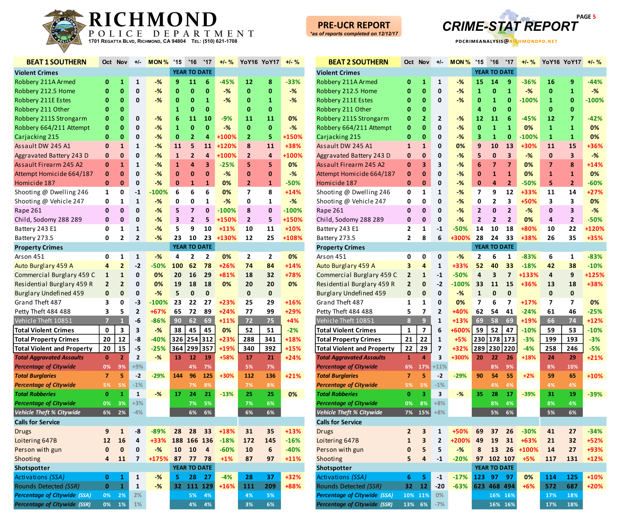

**P O L I C E D E P A R T M E N T 1701 REGATTA BLVD, RICHMOND, CA 94804 TEL: (510) 621**



| <b>BEAT 1 SOUTHERN</b>              | Oct            | <b>Nov</b>              | +/-                     | <b>MON%</b> | '15             | '16                     | '17                     | $+/-$ % |                         | YoY16 YoY17  | $+/-$ % |
|-------------------------------------|----------------|-------------------------|-------------------------|-------------|-----------------|-------------------------|-------------------------|---------|-------------------------|--------------|---------|
| <b>Violent Crimes</b>               |                |                         |                         |             |                 | <b>YEAR TO DATE</b>     |                         |         |                         |              |         |
| Robbery 211A Armed                  | 0              | $\mathbf{1}$            | $\mathbf{1}$            | $-%$        | 9               | 11                      | 6                       | $-45%$  | 12                      | 8            | $-33%$  |
| Robbery 212.5 Home                  | $\bf{0}$       | $\bf{0}$                | 0                       | $-%$        | $\mathbf 0$     | $\bf{0}$                | $\bf{0}$                | $-$ %   | $\pmb{0}$               | $\mathbf{0}$ | $-$ %   |
| Robbery 211E Estes                  | $\bf{0}$       | $\bf{0}$                | 0                       | $-$ %       | $\mathbf 0$     | $\bf{0}$                | $\mathbf{1}$            | $-$ %   | $\pmb{0}$               | 1            | $-$ %   |
| Robbery 211 Other                   | 0              | $\bf{0}$                |                         |             | $\mathbf{1}$    | $\bf{0}$                | $\bf{0}$                |         | $\bf{0}$                | $\bf{0}$     |         |
| Robbery 211S Strongarm              | 0              | $\bf{0}$                | 0                       | $-%$        | $6\phantom{1}6$ | 11                      | 10                      | $-9%$   | 11                      | 11           | 0%      |
| Robbery 664/211 Attempt             | 0              | $\bf{0}$                | 0                       | $-$ %       | $\mathbf{1}$    | $\bf{0}$                | $\mathbf 0$             | $-$ %   | $\bf{0}$                | 0            | $-%$    |
| Carjacking 215                      | $\bf{0}$       | $\bf{0}$                | 0                       | $-$ %       | $\mathbf 0$     | $\overline{2}$          | 4                       | +100%   | $\overline{2}$          | 5            | +150%   |
| Assault DW 245 A1                   | $\mathbf 0$    | $\mathbf{1}$            | $\mathbf{1}$            | $-$ %       | 11              | 5                       | 11                      | +120%   | 8                       | 11           | +38%    |
| Aggravated Battery 243 D            | $\bf{0}$       | $\mathbf 0$             | 0                       | $-%$        | $\mathbf{1}$    | $\overline{\mathbf{c}}$ | $\overline{4}$          | +100%   | $\overline{2}$          | 4            | +100%   |
| Assault Firearm 245 A2              | $\bf{0}$       | $\mathbf{1}$            | $\mathbf{1}$            | $-$ %       | $\mathbf{1}$    | 4                       | 3                       | $-25%$  | 5                       | 5            | 0%      |
| Attempt Homicide 664/187            | $\bf{0}$       | $\mathbf{0}$            | 0                       | $-$ %       | $\mathbf{0}$    | $\mathbf{0}$            | $\mathbf{0}$            | $-$ %   | $\bf{0}$                | $\bf{0}$     | $-%$    |
| Homicide 187                        | $\mathbf{0}$   | $\mathbf 0$             | 0                       | $-%$        | $\bf{0}$        | $\mathbf{1}$            | $\mathbf{1}$            | 0%      | $\overline{2}$          | 1            | $-50%$  |
| Shooting @ Dwelling 246             | $\mathbf{1}$   | 0                       | $-1$                    | $-100%$     | 6               | 6                       | 6                       | 0%      | $\overline{7}$          | 8            | $+14%$  |
| Shooting @ Vehicle 247              | 0              | 1                       | $\mathbf{1}$            | $-$ %       | 0               | 0                       | 1                       | $-%$    | 0                       | 1            | $-%$    |
| Rape 261                            | 0              | $\mathbf 0$             | 0                       | $-$ %       | 5               | $\overline{7}$          | $\mathbf 0$             | $-100%$ | 8                       | 0            | $-100%$ |
| Child, Sodomy 288 289               | 0              | $\mathbf{0}$            | 0                       | $-%$        | 3               | $\overline{2}$          | 5                       | +150%   | $\mathbf{2}$            | 5            | +150%   |
| Battery 243 E1                      | 0              | $\mathbf{1}$            | $\mathbf{1}$            | $-$ %       | 5               | 9                       | 10                      | $+11%$  | 10                      | 11           | $+10%$  |
| Battery 273.5                       | 0              | $\mathbf{2}$            | $\overline{\mathbf{2}}$ | $-%$        | 23              | 10                      | 23                      | +130%   | 12                      | 25           | +108%   |
| <b>Property Crimes</b>              |                |                         |                         |             |                 | <b>YEAR TO DATE</b>     |                         |         |                         |              |         |
| Arson 451                           | 0              | 1                       | $\mathbf{1}$            | $-$ %       | 4               | $\mathbf{2}$            | $\mathbf{2}$            | 0%      | $\overline{\mathbf{c}}$ | 2            | 0%      |
| Auto Burglary 459 A                 | 4              | $\overline{\mathbf{2}}$ | $-2$                    | $-50%$      | 100             | 62                      | 78                      | $+26%$  | 74                      | 84           | $+14%$  |
| Commercial Burglary 459 C           | $\mathbf 1$    | 1                       | 0                       | 0%          | 20              | 16                      | 29                      | +81%    | 18                      | 32           | +78%    |
| Residential Burglary 459 R          | $\mathbf{2}$   | $\overline{2}$          | 0                       | 0%          | 19              | 18                      | 18                      | 0%      | 20                      | 20           | 0%      |
| <b>Burglary Undefined 459</b>       | 0              | $\bf{0}$                | 0                       | $-%$        | 5               | $\mathbf 0$             | $\pmb{0}$               |         | $\mathbf 0$             | $\mathbf 0$  |         |
| Grand Theft 487                     | 3              | $\mathbf 0$             | $-3$                    | $-100%$     | 23              | 22                      | 27                      | $+23%$  | 25                      | 29           | +16%    |
| Petty Theft 484 488                 | 3              | 5                       | $\overline{2}$          | $+67%$      | 65              | 72                      | 89                      | $+24%$  | 77                      | 99           | +29%    |
| Vehicle Theft 10851                 | $\overline{7}$ | $\mathbf{1}$            | -6                      | $-86%$      | 90              | 62                      | 69                      | $+11%$  | 72                      | 75           | $+4%$   |
| <b>Total Violent Crimes</b>         | 0              | 3                       | 3                       | $-$ %       | 38              | 45                      | 45                      | 0%      | 52                      | 51           | $-2%$   |
| <b>Total Property Crimes</b>        | 20             | 12                      | -8                      | $-40%$      | 326             | 254                     | 312                     | +23%    | 288                     | 341          | +18%    |
| <b>Total Violent and Property</b>   | 20             | 15                      | $-5$                    | $-25%$      | 364             | 299                     | 357                     | +19%    | 340                     | 392          | +15%    |
| <b>Total Aggravated Assaults</b>    | 0              | $\mathbf{2}$            | $\overline{\mathbf{c}}$ | $-%$        | 13              | 12                      | 19                      | +58%    | 17                      | 21           | $+24%$  |
| <b>Percentage of Citywide</b>       | 0%             | 9%                      | $+9%$                   |             |                 | 4%                      | 7%                      |         | 5%                      | 7%           |         |
| <b>Total Burglaries</b>             | $\overline{7}$ | 5                       | $-2$                    | $-29%$      | 144             | 96                      | 125                     | +30%    | 112                     | 136          | $+21%$  |
| <b>Percentage of Citywide</b>       | 5%             | 5%                      | $-1%$                   |             |                 | 7%                      | 8%                      |         | 7%                      | 8%           |         |
| <b>Total Robberies</b>              | $\pmb{0}$      | $\mathbf{1}$            | $\mathbf 1$             | $-%$        | 17              | 24                      | 21                      | $-13%$  | 25                      | 25           | 0%      |
| <b>Percentage of Citywide</b>       | 0%             | 3%                      | $+3%$                   |             |                 | 7%                      | 5%                      |         | 7%                      | 6%           |         |
| Vehicle Theft % Citywide            | 6%             | 2%                      | $-4%$                   |             |                 | 6%                      | 6%                      |         | 6%                      | 6%           |         |
| <b>Calls for Service</b>            |                |                         |                         |             |                 |                         |                         |         |                         |              |         |
| <b>Drugs</b>                        | 9              | $\mathbf{1}$            | -8                      | $-89%$      | 28              | 28                      | 33                      | +18%    | 31                      | 35           | +13%    |
| Loitering 647B                      | 12             | 16                      | 4                       | +33%        | 188             | 166                     | 136                     | $-18%$  | 172                     | 145          | $-16%$  |
| Person with gun                     | $\pmb{0}$      | $\mathbf 0$             | 0                       | $-$ %       | 10              | 10                      | $\overline{\mathbf{4}}$ | $-60%$  | 10                      | 6            | $-40%$  |
| Shooting                            | 4              | 11                      | 7                       | +175%       | 87              | 77                      | 78                      | $+1%$   | 87                      | 97           | $+11%$  |
| Shotspotter                         |                |                         |                         |             |                 | <b>YEAR TO DATE</b>     |                         |         |                         |              |         |
| <b>Activations (SSA)</b>            | 0              | 1                       | $\mathbf{1}$            | $-%$        | 5               | 28                      | 27                      | $-4%$   | 28                      | 37           | +32%    |
| Rounds Detected (SSR)               | $\pmb{0}$      | $\mathbf{1}$            | $\mathbf{1}$            | $-%$        | 32              | 111                     | 129                     | +16%    | 111                     | 209          | +88%    |
| <b>Percentage of Citywide (SSA)</b> | 0%             | 2%                      | 2%                      |             |                 | 5%                      | 4%                      |         | 4%                      | 5%           |         |
| <b>Percentage of Citywide (SSR)</b> | 0%             | $1\%$                   | $1\%$                   |             |                 | 4%                      | 4%                      |         | 3%                      | 6%           |         |

| <b>BEAT 2 SOUTHERN</b>              | Oct            | <b>Nov</b>              | +/-                     | MON%    | '15            | '16                 | '17            | $+1 - %$ |                | YoY16 YoY17    | $+/-$ % |
|-------------------------------------|----------------|-------------------------|-------------------------|---------|----------------|---------------------|----------------|----------|----------------|----------------|---------|
| <b>Violent Crimes</b>               |                |                         |                         |         |                | <b>YEAR TO DATE</b> |                |          |                |                |         |
| Robbery 211A Armed                  | 0              | $\mathbf{1}$            | 1                       | $-%$    | 15             | 14                  | 9              | $-36%$   | 16             | 9              | $-44%$  |
| Robbery 212.5 Home                  | 0              | $\bf{0}$                | 0                       | $-$ %   | $\mathbf{1}$   | $\bf{0}$            | 1              | $-$ %    | $\bf{0}$       | 1              | $-$ %   |
| Robbery 211E Estes                  | 0              | 0                       | 0                       | $-%$    | 0              | $\mathbf{1}$        | 0              | $-100%$  | $\mathbf{1}$   | 0              | $-100%$ |
| Robbery 211 Other                   | $\bf{0}$       | $\bf{0}$                |                         |         | 4              | $\bf{0}$            | 0              |          | $\bf{0}$       | $\bf{0}$       |         |
| Robbery 211S Strongarm              | $\bf{0}$       | $\overline{2}$          | $\mathbf{2}$            | $-%$    | 12             | 11                  | 6              | $-45%$   | 12             | $\overline{7}$ | $-42%$  |
| Robbery 664/211 Attempt             | $\bf{0}$       | $\bf{0}$                | $\mathbf 0$             | $-$ %   | $\bf{0}$       | $\mathbf{1}$        | 1              | 0%       | $\mathbf{1}$   | $\mathbf{1}$   | 0%      |
| Carjacking 215                      | 0              | $\bf{0}$                | 0                       | $-$ %   | 3              | $\mathbf{1}$        | $\mathbf{0}$   | $-100%$  | $\mathbf{1}$   | $\mathbf{1}$   | 0%      |
| Assault DW 245 A1                   | $\mathbf{1}$   | $\mathbf{1}$            | 0                       | 0%      | 9              | 10                  | 13             | +30%     | 11             | 15             | +36%    |
| Aggravated Battery 243 D            | 0              | $\bf{0}$                | 0                       | $-%$    | 5              | $\bf{0}$            | 3              | $-%$     | $\bf{0}$       | 3              | $-%$    |
| <b>Assault Firearm 245 A2</b>       | 0              | 3                       | 3                       | $-%$    | 6              | $\overline{7}$      | $\overline{7}$ | 0%       | $\overline{7}$ | 8              | $+14%$  |
| Attempt Homicide 664/187            | 0              | 0                       | 0                       | $-$ %   | $\bf{0}$       | $\mathbf{1}$        | $\mathbf{1}$   | 0%       | 1              | $\mathbf{1}$   | 0%      |
| Homicide 187                        | 0              | 0                       | 0                       | $-$ %   | $\mathbf{0}$   | 4                   | $\mathbf{2}$   | $-50%$   | 5              | $\overline{2}$ | $-60%$  |
| Shooting @ Dwelling 246             | 0              | 1                       | 1                       | $-$ %   | 7              | 9                   | 12             | +33%     | 11             | 14             | $+27%$  |
| Shooting @ Vehicle 247              | 0              | 0                       | $\mathbf 0$             | $-$ %   | 0              | $\overline{2}$      | 3              | +50%     | 3              | 3              | 0%      |
| Rape 261                            | $\mathbf 0$    | 0                       | 0                       | $-%$    | $\overline{2}$ | $\mathbf 0$         | $\mathbf{2}$   | $-$ %    | $\mathbf 0$    | 3              | $-$ %   |
| Child, Sodomy 288 289               | $\mathbf 0$    | $\mathbf{0}$            | 0                       | $-%$    | $\overline{2}$ | $\overline{2}$      | $\overline{2}$ | 0%       | 4              | $\mathbf{2}$   | $-50%$  |
| Battery 243 E1                      | 2              | $\mathbf{1}$            | $-1$                    | $-50%$  | 14             | 10                  | 18             | +80%     | 10             | 22             | +120%   |
| Battery 273.5                       | $\overline{2}$ | 8                       | 6                       | +300%   | 28             | 24                  | 33             | +38%     | 26             | 35             | +35%    |
| <b>Property Crimes</b>              |                |                         |                         |         |                | <b>YEAR TO DATE</b> |                |          |                |                |         |
| Arson 451                           | 0              | 0                       | 0                       | $-$ %   | $\overline{2}$ | 6                   | 1              | $-83%$   | 6              | 1              | $-83%$  |
| Auto Burglary 459 A                 | 3              | $\overline{a}$          | $\mathbf{1}$            | +33%    | 52             | 40                  | 33             | $-18%$   | 42             | 38             | $-10%$  |
| Commercial Burglary 459 C           | $\overline{2}$ | $\mathbf{1}$            | $-1$                    | $-50%$  | $\overline{4}$ | 3                   | $\overline{7}$ | +133%    | $\overline{a}$ | 9              | +125%   |
| Residential Burglary 459 R          | $\overline{2}$ | $\mathbf 0$             | $-2$                    | $-100%$ | 33             | 11                  | 15             | +36%     | 13             | 18             | +38%    |
| <b>Burglary Undefined 459</b>       | 0              | 0                       | 0                       | $-$ %   | $\mathbf{1}$   | $\mathbf 0$         | $\mathbf 0$    |          | $\pmb{0}$      | $\mathbf 0$    |         |
| Grand Theft 487                     | 1              | 1                       | 0                       | 0%      | 7              | 6                   | $\overline{7}$ | $+17%$   | $\overline{7}$ | 7              | 0%      |
| Petty Theft 484 488                 | 5              | 7                       | $\overline{2}$          | +40%    | 62             | 54                  | 41             | $-24%$   | 61             | 46             | $-25%$  |
| Vehicle Theft 10851                 | $\bf{8}$       | $\overline{9}$          | 1                       | $+13%$  | 69             | 58                  | 69             | +19%     | 66             | 74             | $+12%$  |
| <b>Total Violent Crimes</b>         | 1              | 7                       | 6                       | +600%   | 59             | 52                  | 47             | $-10%$   | 59             | 53             | $-10%$  |
| <b>Total Property Crimes</b>        | 21             | 22                      | 1                       | $+5%$   | 230            | 178                 | 173            | $-3%$    | 199            | 193            | $-3%$   |
| <b>Total Violent and Property</b>   | 22             | 29                      | $\overline{\mathbf{z}}$ | +32%    | 289            | 230                 | 220            | $-4%$    | 258            | 246            | $-5%$   |
| <b>Total Aggravated Assaults</b>    | $\mathbf{1}$   | 4                       | 3                       | +300%   | 20             | 22                  | 26             | $+18%$   | 24             | 29             | $+21%$  |
| <b>Percentage of Citywide</b>       | 6%             | 17%                     | $+11%$                  |         |                | 8%                  | 9%             |          | 8%             | 10%            |         |
| <b>Total Burglaries</b>             | $\overline{7}$ | 5                       | $-2$                    | $-29%$  | 90             | 54                  | 55             | $+2%$    | 59             | 65             | $+10%$  |
| <b>Percentage of Citywide</b>       | 5%             | 5%                      | $-1%$                   |         |                | 4%                  | 4%             |          | 4%             | 4%             |         |
| <b>Total Robberies</b>              | $\mathbf{0}$   | 3                       | 3                       | $-%$    | 35             | 28                  | 17             | $-39%$   | 31             | 19             | $-39%$  |
| <b>Percentage of Citywide</b>       | 0%             | 8%                      | $+8%$                   |         |                | 8%                  | 4%             |          | 8%             | 4%             |         |
| <b>Vehicle Theft % Citywide</b>     | 7%             | 15%                     | $+8%$                   |         |                | 5%                  | 6%             |          | 5%             | 6%             |         |
| <b>Calls for Service</b>            |                |                         |                         |         |                |                     |                |          |                |                |         |
| <b>Drugs</b>                        | $\overline{2}$ | 3                       | 1                       | +50%    | 69             | 37                  | 26             | $-30%$   | 41             | 27             | $-34%$  |
| Loitering 647B                      | $\mathbf{1}$   | 3                       | $\mathbf{2}$            | +200%   | 49             | 19                  | 31             | +63%     | 21             | 32             | +52%    |
| Person with gun                     | $\mathbf 0$    | 5                       | 5                       | $-%$    | 8              | 13                  | 26             | +100%    | 14             | 27             | +93%    |
| Shooting                            | 5              | $\overline{\mathbf{4}}$ | $-1$                    | $-20%$  | 97             |                     | 102 107        | $+5%$    | 117            | 131            | $+12%$  |
| Shotspotter                         |                |                         |                         |         |                | <b>YEAR TO DATE</b> |                |          |                |                |         |
| <b>Activations (SSA)</b>            | 6              | 5                       | $\textbf{-1}$           | $-17%$  | 123            | 97                  | 97             | 0%       | 114            | 125            | $+10%$  |
| Rounds Detected (SSR)               | 32             | 12                      | $-20$                   | $-63%$  | 623            |                     | 468 494        | $+6%$    | 572            | 687            | $+20%$  |
| <b>Percentage of Citywide (SSA)</b> | 10%            | 11%                     | $0\%$                   |         |                |                     | 16% 16%        |          | 17%            | 18%            |         |
| <b>Percentage of Citywide (SSR)</b> | 13%            | 6%                      | $-7%$                   |         |                |                     | 16% 16%        |          | 17%            | 18%            |         |
|                                     |                |                         |                         |         |                |                     |                |          |                |                |         |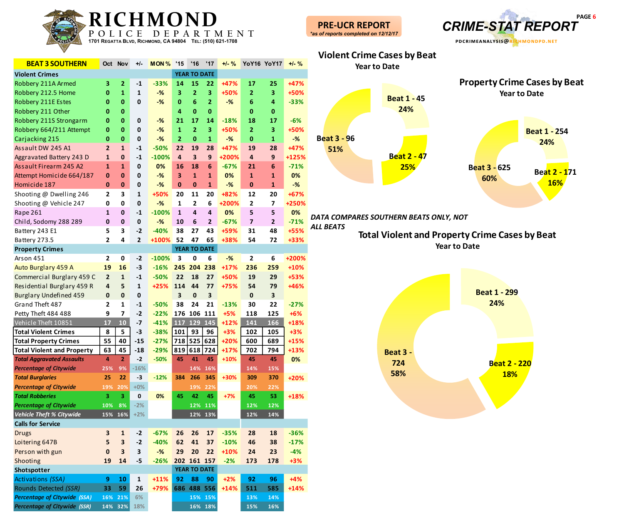

| <b>PRE-UCR REPORT</b>                |
|--------------------------------------|
| *as of reports completed on 12/12/17 |



| <b>BEAT 3 SOUTHERN</b>                     |                | Oct Nov        | +/-                     | MON%           | '15            | '16                     | '17              | $+/-$ %         |                         | <b>YoY16 YoY17</b> | $+/-$ %         |
|--------------------------------------------|----------------|----------------|-------------------------|----------------|----------------|-------------------------|------------------|-----------------|-------------------------|--------------------|-----------------|
| <b>Violent Crimes</b>                      |                |                |                         |                |                | <b>YEAR TO DATE</b>     |                  |                 |                         |                    |                 |
| Robbery 211A Armed                         | 3              | $\overline{2}$ | $-1$                    | $-33%$         | 14             | 15                      | 22               | +47%            | 17                      | 25                 | +47%            |
| Robbery 212.5 Home                         | $\bf{0}$       | $\mathbf{1}$   | $\mathbf{1}$            | $-$ %          | 3              | $\overline{2}$          | 3                | +50%            | $\mathbf{2}$            | 3                  | +50%            |
| Robbery 211E Estes                         | 0              | $\bf{0}$       | $\mathbf 0$             | $-%$           | $\bf{0}$       | $6\phantom{1}6$         | $\overline{2}$   | $-%$            | $6\phantom{1}6$         | $\overline{4}$     | $-33%$          |
| Robbery 211 Other                          | $\bf{0}$       | $\bf{0}$       |                         |                | 4              | $\bf{0}$                | 0                |                 | $\bf{0}$                | $\mathbf 0$        |                 |
| Robbery 211S Strongarm                     | 0              | $\bf{0}$       | 0                       | $-%$           | 21             | 17                      | 14               | $-18%$          | 18                      | 17                 | $-6%$           |
| Robbery 664/211 Attempt                    | $\bf{0}$       | $\bf{0}$       | $\mathbf 0$             | $-$ %          | $\mathbf{1}$   | $\overline{2}$          | 3                | +50%            | $\mathbf{2}$            | 3                  | +50%            |
| Carjacking 215                             | $\bf{0}$       | $\bf{0}$       | $\mathbf 0$             | $-%$           | $\overline{2}$ | $\bf{0}$                | $\mathbf{1}$     | $-%$            | $\pmb{0}$               | $\mathbf{1}$       | $-$ %           |
| Assault DW 245 A1                          | $\overline{2}$ | $\mathbf{1}$   | $-1$                    | $-50%$         | 22             | 19                      | 28               | +47%            | 19                      | 28                 | +47%            |
| Aggravated Battery 243 D                   | $\mathbf{1}$   | $\mathbf{0}$   | $-1$                    | $-100%$        | $\overline{4}$ | 3                       | $\boldsymbol{9}$ | +200%           | $\overline{4}$          | $\mathbf{9}$       | +125%           |
| Assault Firearm 245 A2                     | 1              | $\mathbf{1}$   | $\mathbf 0$             | 0%             | 16             | 18                      | $6\phantom{1}6$  | $-67%$          | 21                      | 6                  | $-71%$          |
| Attempt Homicide 664/187                   | $\mathbf{0}$   | $\mathbf{0}$   | 0                       | $-$ %          | 3              | $\mathbf{1}$            | $\mathbf{1}$     | 0%              | $\mathbf{1}$            | $\mathbf{1}$       | 0%              |
| Homicide 187                               | $\mathbf{0}$   | 0              | 0                       | $-%$           | 0              | $\mathbf{0}$            | $\mathbf{1}$     | $-%$            | 0                       | $\mathbf{1}$       | $-$ %           |
| Shooting @ Dwelling 246                    | $\overline{2}$ | 3              | $\mathbf{1}$            | +50%           | 20             | 11                      | 20               | +82%            | 12                      | 20                 | $+67%$          |
| Shooting @ Vehicle 247                     | 0              | 0              | $\mathbf 0$             | $-$ %          | 1              | $\overline{2}$          | 6                | +200%           | $\overline{2}$          | $\overline{7}$     | +250%           |
| Rape 261                                   | $\mathbf{1}$   | $\mathbf 0$    | $-1$                    | $-100%$        | $\mathbf{1}$   | $\overline{\mathbf{4}}$ | 4                | 0%              | 5                       | 5                  | 0%              |
| Child, Sodomy 288 289                      | $\mathbf 0$    | $\mathbf 0$    | $\mathbf 0$             | $-%$           | 10             | 6                       | $\overline{2}$   | $-67%$          | $\overline{\mathbf{z}}$ | $\overline{2}$     | $-71%$          |
| Battery 243 E1                             | 5              | 3              | $-2$                    | $-40%$         | 38             | 27                      | 43               | +59%            | 31                      | 48                 | +55%            |
| Battery 273.5                              | $\overline{2}$ | 4              | $\overline{2}$          | +100%          | 52             | 47                      | 65               | +38%            | 54                      | 72                 | +33%            |
| <b>Property Crimes</b>                     |                |                |                         |                |                | <b>YEAR TO DATE</b>     |                  |                 |                         |                    |                 |
| Arson 451                                  | $\overline{2}$ | 0              | $-2$                    | $-100%$        | 3              | 0                       | 6                | $-%$            | $\mathbf{2}$            | 6                  | +200%           |
| Auto Burglary 459 A                        | 19             | 16             | $-3$                    | $-16%$         | 245            | 204 238                 |                  | $+17%$          | 236                     | 259                | +10%            |
| Commercial Burglary 459 C                  | $\overline{2}$ | $\mathbf 1$    | $-1$                    | $-50%$         | 22             | 18                      | 27               | +50%            | 19                      | 29                 | +53%            |
| Residential Burglary 459 R                 | 4              | 5              | $\mathbf 1$             | $+25%$         | 114            | 44                      | 77               | +75%            | 54                      | 79                 | +46%            |
| <b>Burglary Undefined 459</b>              | $\mathbf 0$    | $\bf{0}$       | $\mathbf 0$             |                | 3              | $\mathbf 0$             | 3                |                 | $\pmb{0}$               | 3                  |                 |
| Grand Theft 487                            | $\overline{2}$ | $\mathbf{1}$   | $-1$                    | $-50%$         | 38             | 24                      | 21               | $-13%$          | 30                      | 22                 | $-27%$          |
| Petty Theft 484 488                        | 9              | $\overline{7}$ | $-2$                    | $-22%$         | 176            | 106 111                 |                  | $+5%$           | 118                     | 125                | $+6%$           |
| Vehicle Theft 10851                        | 17             | 10             | $-7$                    | $-41%$         | 117            | 129                     | 145              | $+12%$          | 141                     | 166                | +18%            |
| <b>Total Violent Crimes</b>                | 8              | 5              | $-3$                    | $-38%$         | 101            | 93                      | 96               | $+3%$           | 102                     | 105                | $+3%$           |
| <b>Total Property Crimes</b>               | 55             | 40             | $-15$                   | $-27%$         | 718            | 525                     | 628              | $+20%$          | 600                     | 689                | $+15%$          |
| <b>Total Violent and Property</b>          | 63             | 45             | $-18$                   | $-29%$         | 819            | 618                     | 724              | $+17%$          | 702                     | 794                | +13%            |
| <b>Total Aggravated Assaults</b>           | 4              | $\overline{2}$ | $-2$                    | $-50%$         | 45             | 41                      | 45               | $+10%$          | 45                      | 45                 | 0%              |
| <b>Percentage of Citywide</b>              | 25%            | 9%             | $-16%$                  |                |                | 14%                     | 16%              |                 | 14%                     | 15%                |                 |
| <b>Total Burglaries</b>                    | 25             | 22             | -3                      | $-12%$         | 384            | 266                     | 345              | +30%            | 309                     | 370                | $+20%$          |
| <b>Percentage of Citywide</b>              | 19%            | 20%            | $+0\%$                  |                |                | 19%                     | 22%              |                 | 20%                     | 22%                |                 |
| <b>Total Robberies</b>                     | 3              | 3              | $\pmb{0}$               | 0%             | 45             | 42                      | 45               | $+7%$           | 45                      | 53                 | +18%            |
| <b>Percentage of Citywide</b>              | 10%            | 8%             | $-2%$                   |                |                | 12%                     | 11%              |                 | 12%                     | 12%                |                 |
| Vehicle Theft % Citywide                   | 15%            | 16%            | $+2%$                   |                |                |                         | 12% 13%          |                 | 12%                     | 14%                |                 |
| <b>Calls for Service</b>                   |                |                |                         |                |                |                         |                  |                 |                         |                    |                 |
| <b>Drugs</b>                               | 3              | $\mathbf{1}$   | $-2$                    | $-67%$         | 26             | 26                      | 17               | $-35%$          | 28                      | 18                 | $-36%$          |
| Loitering 647B                             | 5              | 3              | $-2$                    | $-40%$         | 62             | 41                      | 37               | $-10%$          | 46                      | 38                 | $-17%$          |
| Person with gun                            | $\pmb{0}$      | 3              | $\overline{\mathbf{3}}$ | $-%$           | 29             | 20                      | 22               | $+10%$          | 24                      | 23                 | $-4%$           |
| Shooting                                   | 19             | 14             | $-5$                    | $-26%$         |                | 202 161 157             |                  | $-2%$           | 173                     | 178                | $+3%$           |
| Shotspotter                                |                |                |                         |                |                | YEAR TO DATE            |                  |                 |                         |                    |                 |
| Activations (SSA)<br>Rounds Detected (SSR) | 9<br>33        | 10<br>59       | $\mathbf{1}$<br>26      | $+11%$<br>+79% | 92             | 88<br>686 488 556       | 90               | $+2%$<br>$+14%$ | 92<br>511               | 96<br>585          | $+4%$<br>$+14%$ |
| <b>Percentage of Citywide (SSA)</b>        | 16%            | 21%            | 6%                      |                |                |                         | 15% 15%          |                 | 13%                     | 14%                |                 |

*Percentage of Citywide (SSR)* **14% 32% 18% 16% 18% 15% 16%**



*DATA COMPARES SOUTHERN BEATS ONLY, NOT* 

*ALL BEATS*

**Total Violent and Property Crime Cases by Beat Year to Date**

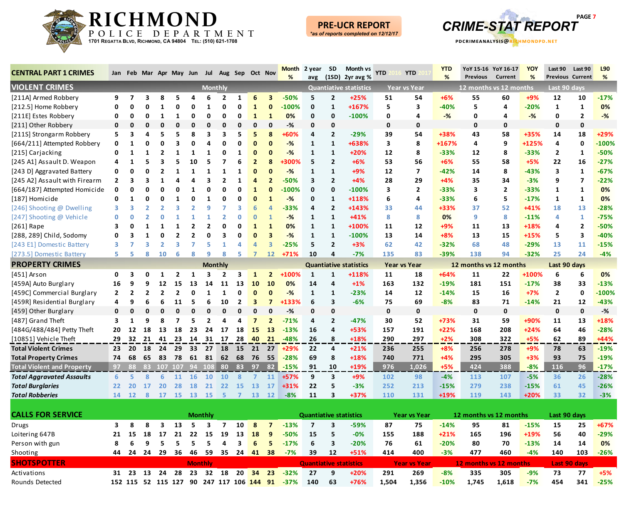



| P O                               |              | E<br>$\mathbf T$<br>E<br>MENT<br>A R<br>1701 REGATTA BLVD, RICHMOND, CA 94804 TEL: (510) 621-1708 |                               |                 |           |           |                |                |                |                |                |                                          |                |                    | <b>PRE-UCR REPORT</b><br>*as of reports completed on 12/12/17 |      |                     |                 | <b>CRIME-STAT REPORT</b><br>PDCRIMEANALYSIS@RICHMONDPD.NET |                                |          |                | <b>PAGE 7</b>                      |          |
|-----------------------------------|--------------|---------------------------------------------------------------------------------------------------|-------------------------------|-----------------|-----------|-----------|----------------|----------------|----------------|----------------|----------------|------------------------------------------|----------------|--------------------|---------------------------------------------------------------|------|---------------------|-----------------|------------------------------------------------------------|--------------------------------|----------|----------------|------------------------------------|----------|
| <b>CENTRAL PART 1 CRIMES</b>      |              |                                                                                                   | Jan Feb Mar Apr May Jun       |                 |           |           | Jul Aug        |                |                | Sep Oct Nov    |                | Month 2 year<br>%                        | avg            | <b>SD</b><br>(1SD) | Month vs<br>2yr avg %                                         | YTD. | <b>YTD</b>          | <b>YTD</b><br>% | <b>Previous</b>                                            | YoY 15-16 YoY 16-17<br>Current | YOY<br>% | Last 90        | Last 90<br><b>Previous Current</b> | L90<br>% |
| <b>VIOLENT CRIMES</b>             |              |                                                                                                   |                               |                 |           |           | <b>Monthly</b> |                |                |                |                |                                          |                |                    | <b>Quantiative statistics</b>                                 |      | <b>Year vs Year</b> |                 | 12 months vs 12 months                                     |                                |          | Last 90 days   |                                    |          |
| [211A] Armed Robbery              | 9            |                                                                                                   | 3                             | 8               | 5         |           |                |                |                | 6              | 3              | $-50%$                                   | 5              | $\overline{2}$     | $+25%$                                                        | 51   | 54                  | $+6%$           | 55                                                         | 60                             | $+9%$    | 12             | 10                                 | $-17%$   |
| [212.5] Home Robbery              |              |                                                                                                   |                               |                 |           |           |                |                | 0              | 1              | 0              | $-100%$                                  | $\mathbf 0$    | 1                  | +167%                                                         | 5    | 3                   | $-40%$          | 5                                                          | 4                              | $-20%$   | 1              | 1                                  | 0%       |
| [211E] Estes Robbery              |              | 0                                                                                                 | O                             |                 |           |           |                | 0              | 0              | 1              |                | 0%                                       | 0              | $\mathbf 0$        | $-100%$                                                       | 0    | 4                   | $-%$            | 0                                                          | 4                              | $-%$     | 0              | $\mathbf{2}$                       | $-%$     |
| [211] Other Robbery               | 0            | 0                                                                                                 | 0                             | 0               | 0         |           |                | 0              | 0              | 0              | 0              | $-%$                                     | $\mathbf 0$    | 0                  |                                                               | 0    | 0                   |                 | 0                                                          | 0                              |          | 0              | $\mathbf 0$                        |          |
| [211S] Strongarm Robbery          | 5            | 3                                                                                                 | 4                             | 5               | 5         |           |                | 3              | 5              | 5              | 8              | +60%                                     | 4              | $\overline{2}$     | $-29%$                                                        | 39   | 54                  | +38%            | 43                                                         | 58                             | +35%     | 14             | 18                                 | +29%     |
| [664/211] Attempted Robbery       | $\mathbf{0}$ | 1                                                                                                 |                               | ŋ               | 3         |           |                |                | 0              | $\mathbf 0$    | 0              | $-%$                                     | 1              | 1                  | +638%                                                         | 3    | 8                   | +167%           | 4                                                          | 9                              | +125%    | 4              | 0                                  | $-100%$  |
| [215] Carjacking                  | 0            |                                                                                                   |                               |                 |           |           |                |                |                | $\bf{0}$       | 0              | $-%$                                     | 1              | 1                  | $+20%$                                                        | 12   | 8                   | $-33%$          | 12                                                         | 8                              | $-33%$   | $\mathbf{2}$   | 1                                  | $-50%$   |
| [245 A1] Assault D. Weapon        |              |                                                                                                   |                               |                 |           | 10        |                |                |                | $\overline{2}$ | 8              | 800%                                     | 5              | $\overline{2}$     | $+6%$                                                         | 53   | 56                  | $+6%$           | 55                                                         | 58                             | $+5%$    | 22             | 16                                 | $-27%$   |
| [243 D] Aggravated Battery        | 0            |                                                                                                   |                               |                 |           |           |                |                |                | $\Omega$       | O              | $-%$                                     | 1              | 1                  | $+9%$                                                         | 12   | $\overline{7}$      | $-42%$          | 14                                                         | 8                              | $-43%$   | 3              | $\mathbf{1}$                       | $-67%$   |
| [245 A2] Assault with Firearm     | $\mathbf{2}$ |                                                                                                   |                               |                 |           |           |                |                |                | 4              | $\overline{2}$ | $-50%$                                   | 3              | $\overline{2}$     | $+4%$                                                         | 28   | 29                  | $+4%$           | 35                                                         | 34                             | $-3%$    | 9              | $\overline{\mathbf{z}}$            | $-22%$   |
| [664/187] Attempted Homicide      | 0            |                                                                                                   |                               |                 |           |           |                |                | 0              | 1              | 0              | $-100%$                                  | $\mathbf 0$    | 0                  | $-100%$                                                       | 3    | $\overline{2}$      | $-33%$          | 3                                                          | $\mathbf{2}$                   | $-33%$   | 1              | 1                                  | 0%       |
| [187] Homicide                    | O            |                                                                                                   |                               | Ω               |           |           |                |                | 0              | $\bf{0}$       | 1              | $-%$                                     | 0              | 1                  | +118%                                                         | 6    | 4                   | $-33%$          | 6                                                          | 5                              | $-17%$   | 1              | 1                                  | 0%       |
| [246] Shooting @ Dwelling         |              |                                                                                                   |                               |                 |           |           |                |                | 3              | 6              |                | $-33%$                                   | 4              | $\overline{2}$     | $+143%$                                                       | 33   | 44                  | +33%            | 37                                                         | 52                             | +41%     | 18             | 13                                 | $-28%$   |
| [247] Shooting @ Vehicle          | 0            |                                                                                                   |                               | O               |           |           |                |                | 0              | $\bf{0}$       |                | $-%$                                     | 1              | 1                  | $+41%$                                                        | 8    | 8                   | 0%              | 9                                                          | 8                              | $-11%$   | Δ              | 1                                  | $-75%$   |
| [261] Rape                        |              |                                                                                                   |                               |                 |           |           |                |                | n              | $\mathbf{1}$   | -1             | 0%                                       | 1              | 1                  | +100%                                                         | 11   | 12                  | $+9%$           | 11                                                         | 13                             | +18%     | 4              | $\overline{\mathbf{2}}$            | $-50%$   |
| [288, 289] Child, Sodomy          | 0            |                                                                                                   |                               | ŋ               |           |           |                |                | n              | $\Omega$       | 3              | $-%$                                     | 1              | 1                  | $-100%$                                                       | 13   | 14                  | $+8%$           | 13                                                         | 15                             | +15%     | 5              | 3                                  | $-40%$   |
| [243 E1] Domestic Battery         | з            |                                                                                                   |                               | $\overline{2}$  | 3         |           |                |                |                |                | 3              | $-25%$                                   | 5              | $\overline{2}$     | $+3%$                                                         | 62   | 42                  | $-32%$          | 68                                                         | 48                             | $-29%$   | 13             | 11                                 | $-15%$   |
| [273.5] Domestic Battery          | 5.           | 5                                                                                                 | 8                             | 10              | 6         | 8         |                | 8              | 5              |                | 12             | $+71%$                                   | 10             | Δ                  | $-7%$                                                         | 135  | 83                  | $-39%$          | 138                                                        | 94                             | $-32%$   | 25             | 24                                 | $-4%$    |
| <b>PROPERTY CRIMES</b>            |              |                                                                                                   |                               |                 |           |           | <b>Monthly</b> |                |                |                |                |                                          |                |                    | <b>Quantiative statistics</b>                                 |      | <b>Year vs Year</b> |                 | 12 months vs 12 months                                     |                                |          | Last 90 days   |                                    |          |
| $[451]$ Arson                     | 0            |                                                                                                   |                               |                 |           |           |                |                | 3              |                | $\mathbf{2}$   | +100%                                    | 1              | 1                  | +118%                                                         | 11   | 18                  | $+64%$          | 11                                                         | 22                             | +100%    | 6              | 6                                  | 0%       |
| [459A] Auto Burglary              | 16           | 9                                                                                                 | 9                             | 12              | 15        | 13        | 14             | 11             | 13             | 10             | 10             | 0%                                       | 14             | 4                  | $+1%$                                                         | 163  | 132                 | $-19%$          | 181                                                        | 151                            | $-17%$   | 38             | 33                                 | $-13%$   |
| [459C] Commercial Burglary        | 2            |                                                                                                   | 2                             | 2               | 2         |           |                | -1             | 0              | $\Omega$       | 0              | $-%$                                     | 1              | 1                  | $-23%$                                                        | 14   | 12                  | $-14%$          | 15                                                         | 16                             | $+7%$    | $\overline{2}$ | $\mathbf 0$                        | $-100%$  |
| [459R] Residential Burglary       |              |                                                                                                   | 6                             |                 | 11        |           |                | 10             | $\overline{2}$ | 3              |                | +133%                                    | 6              | 3                  | $-6%$                                                         | 75   | 69                  | $-8%$           | 83                                                         | 71                             | $-14%$   | 21             | 12                                 | $-43%$   |
| [459] Other Burglary              | 0            | O                                                                                                 |                               |                 | 0         |           |                | 0              | 0              | 0              | 0              | -%                                       | $\mathbf 0$    | 0                  |                                                               | 0    | 0                   |                 | 0                                                          | 0                              |          | $\mathbf 0$    | $\mathbf 0$                        | -%       |
| [487] Grand Theft                 | 3            |                                                                                                   |                               | ጸ               |           |           |                |                |                | 7              |                | $-71%$                                   | 4              | 2                  | $-47%$                                                        | 30   | 52                  | +73%            | 31                                                         | 59                             | +90%     | 11             | 13                                 | $+18%$   |
| [484G/488/484] Petty Theft        | 20.          | 12                                                                                                | 18                            | 13              | 18        | 23        | 24             | 17             | 18             | 15             | -13            | $-13%$                                   | 16             |                    | +53%                                                          | 157  | 191                 | $+22%$          | 168                                                        | 208                            | $+24%$   | 64             | 46                                 | $-28%$   |
| [10851] Vehicle Theft             | 29           |                                                                                                   | 32 21 41 23 14 31 17 28 40 21 |                 |           |           |                |                |                |                |                | $-48%$                                   | 26             |                    | $+18%$                                                        | 290  | 297                 | $+2%$           | 308                                                        | 322                            | $+5%$    | 62             | 89                                 | $+44%$   |
| <b>Total Violent Crimes</b>       | 23.          |                                                                                                   | 20 18 24 29                   |                 |           |           | 33 27          |                | 18 15 21 27    |                |                | $+29%$                                   | 22             | $\overline{a}$     | $+21%$                                                        | 236  | 255                 | $+8%$           | 256                                                        | 278                            | $+9%$    | 78             | 63                                 | $-19%$   |
| <b>Total Property Crimes</b>      | 74           | 68                                                                                                | 65                            | 83 78           |           |           | 61 81 62       |                |                | 68 76 55       |                | $-28%$                                   | 69             | 8                  | +18%                                                          | 740  | 771                 | $+4%$           | 295                                                        | 305                            | $+3%$    | 93             | 75                                 | $-19%$   |
| <b>Total Violent and Property</b> |              |                                                                                                   |                               |                 |           |           |                |                |                |                |                | 97 88 83 107 107 94 108 80 83 97 82 -15% | 91             | 10                 | +19%                                                          | 976  | 1,026               | $+5%$           | 424                                                        | 388                            | $-8%$    | <b>116</b>     | 96                                 | $-17%$   |
| <b>Total Aggravated Assaults</b>  | 6            | 5                                                                                                 | 8                             | 6               | 11        | <b>16</b> | 10             | <b>10</b>      | 8              | $\overline{7}$ | <b>11</b>      | $+57%$                                   | 9              | 3                  | $+9%$                                                         | 102  | 98                  | $-4%$           | 113                                                        | 107                            | $-5%$    | 36             | 26                                 | $-28%$   |
| <b>Total Burglaries</b>           | 22           | 20                                                                                                | <b>17</b>                     | 20 <sup>°</sup> | 28        | <b>18</b> | 21             | 22             | - 15           | <b>13</b>      | <b>17</b>      | $+31%$                                   | 22             | 5                  | $-3%$                                                         | 252  | 213                 | $-15%$          | 279                                                        | 238                            | $-15%$   | 61             | 45                                 | $-26%$   |
| <b>Total Robberies</b>            | 14           | 12 <sup>2</sup>                                                                                   | -8                            | 17              | <b>15</b> | <b>13</b> | 15             | 5              |                | 13             | 12             | $-8%$                                    | 11             |                    | +37%                                                          | 110  | 131                 | +19%            | <b>119</b>                                                 | 143                            | $+20%$   | 33             | 32                                 | $-3%$    |
| <b>CALLS FOR SERVICE</b>          |              |                                                                                                   |                               |                 |           |           | <b>Monthly</b> |                |                |                |                |                                          |                |                    | <b>Quantiative statistics</b>                                 |      | <b>Year vs Year</b> |                 | 12 months vs 12 months                                     |                                |          | Last 90 days   |                                    |          |
| <b>Drugs</b>                      | 3            | 8                                                                                                 | 8                             | 3               | 13        | 5         | 3              | $\overline{7}$ | 10             | 8              | $\overline{7}$ | $-13%$                                   | $\overline{7}$ | 3                  | $-59%$                                                        | 87   | 75                  | $-14%$          | 95                                                         | 81                             | $-15%$   | 15             | 25                                 | +67%     |
| Loitering 647B                    | 21           | 15                                                                                                | 18                            | 17              | 21        | 22        | 15             | 19             | 13             | 18             | 9              | $-50%$                                   | 15             | 5                  | $-0%$                                                         | 155  | 188                 | $+21%$          | 165                                                        | 196                            | +19%     | 56             | 40                                 | $-29%$   |
| Person with gun                   | 8            | 6                                                                                                 | 9                             | 5               | 5         | 5         | 5              | 4              | 3              | 6              | 5              | $-17%$                                   | 6              | 3                  | $-20%$                                                        | 76   | 61                  | $-20%$          | 80                                                         | 70                             | $-13%$   | 14             | 14                                 | 0%       |
|                                   |              |                                                                                                   |                               |                 |           |           |                |                |                |                |                |                                          |                |                    |                                                               |      |                     |                 |                                                            |                                |          |                |                                    |          |

| <b>Total Aggravated Assaults</b> |    |           |      |                    |           | 16             | <b>10</b> | <b>10</b>          |    |    | 11              | $+57%$ | q   |                 | +9%                           | 102   | 98                  | $-4%$  | 113   | 107                    | -5%    | 36           | 26                  | $-28%$ |
|----------------------------------|----|-----------|------|--------------------|-----------|----------------|-----------|--------------------|----|----|-----------------|--------|-----|-----------------|-------------------------------|-------|---------------------|--------|-------|------------------------|--------|--------------|---------------------|--------|
| <b>Total Burglaries</b>          | 22 | <b>20</b> | 17   | 20                 | 28        | 18             | 21        | 22                 |    | 13 | 17              | $+31%$ | 22  | 5               | $-3%$                         | 252   | 213                 | $-15%$ | 279   | 238                    | $-15%$ | 61           | 45                  | $-26%$ |
| <b>Total Robberies</b>           |    | 14 12     | $-8$ | $-17$              | <b>15</b> | <b>13</b>      | - 15      | - 51               |    | 13 | 12 <sup>2</sup> | $-8%$  | 11  | 3               | $+37%$                        | 110   | 131                 | $+19%$ | 119   | 143                    | $+20%$ | 33           | 32                  | $-3%$  |
|                                  |    |           |      |                    |           |                |           |                    |    |    |                 |        |     |                 |                               |       |                     |        |       |                        |        |              |                     |        |
| <b>CALLS FOR SERVICE</b>         |    |           |      |                    |           | <b>Monthly</b> |           |                    |    |    |                 |        |     |                 | <b>Quantiative statistics</b> |       | <b>Year vs Year</b> |        |       | 12 months vs 12 months |        | Last 90 days |                     |        |
| <b>Drugs</b>                     | 3  |           | 8    |                    | 13        |                |           |                    | 10 | 8  |                 | $-13%$ |     | 3               | $-59%$                        | 87    | 75                  | $-14%$ | 95    | 81                     | $-15%$ | 15           | 25                  | $+67%$ |
| Loitering 647B                   | 21 | 15        | 18   | 17                 | 21        | 22             | 15        | 19                 | 13 | 18 | 9               | $-50%$ | 15  | 5.              | $-0%$                         | 155   | 188                 | $+21%$ | 165   | 196                    | $+19%$ | 56           | 40                  | $-29%$ |
| Person with gun                  | 8  | 6.        | 9    |                    | 5.        |                |           | 4                  | 3  | 6  | 5.              | $-17%$ | 6   | 3               | $-20%$                        | 76    | 61                  | $-20%$ | 80    | 70                     | $-13%$ | 14           | 14                  | 0%     |
| Shooting                         | 44 | 24        | 24   | 29                 | 36        | 46             | 59        | 35                 | 24 | 41 | 38              | $-7%$  | 39  | 12 <sup>2</sup> | $+51%$                        | 414   | 400                 | $-3%$  | 477   | 460                    | $-4%$  | 140          | 103                 | $-26%$ |
| <b>SHOTSPOTTER</b>               |    |           |      |                    |           | <b>Monthly</b> |           |                    |    |    |                 |        |     |                 | <b>Quantiative statistics</b> |       | Year vs Year        |        |       | 12 months vs 12 months |        |              | <b>Last 90 days</b> |        |
| Activations                      | 31 | 23        | 13   | 24                 | 28        | 23             | 32        | 18                 | 20 | 34 | 23              | $-32%$ | 27  | 9               | $+20%$                        | 291   | 269                 | $-8%$  | 335   | 305                    | $-9%$  | 73           | 77                  | $+5%$  |
| Rounds Detected                  |    |           |      | 152 115 52 115 127 |           |                |           | 90 247 117 106 144 |    |    | 91              | $-37%$ | 140 | 63              | $+76%$                        | 1,504 | 1,356               | $-10%$ | 1,745 | 1,618                  | $-7%$  | 454          | 341                 | $-25%$ |
|                                  |    |           |      |                    |           |                |           |                    |    |    |                 |        |     |                 |                               |       |                     |        |       |                        |        |              |                     |        |
|                                  |    |           |      |                    |           |                |           |                    |    |    |                 |        |     |                 |                               |       |                     |        |       |                        |        |              |                     |        |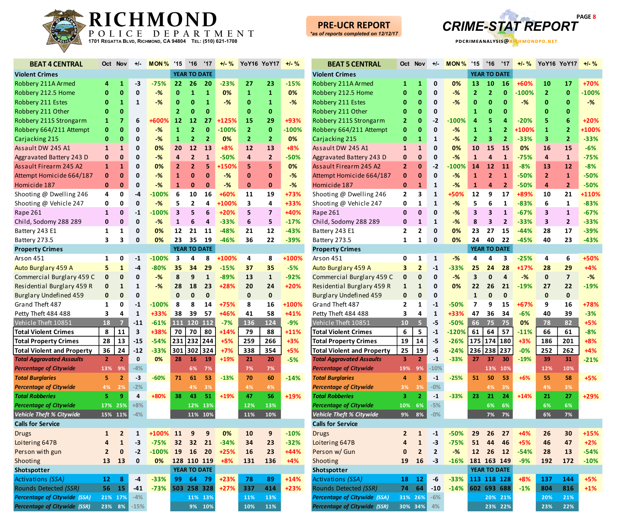



**BEAT 4 CENTRAL Oct Nov +/- MON % '15 '16 '17 +/- % YoY16 YoY17 +/- % Violent Crimes** Robbery 211A Armed **4 1 -3 -75% 2 2 2 6 2 0 -23% 2 7 2 3 -15%** Robbery 212.5 Home **0 0 0 -% 0 1 1 0 % 1 1 0 %** Robbery 211 Estes **0 1 1 -% 0 0 1 -% 0 1 -%** Robbery 211 Other **0 0 2 0 0 0 0** Robbery 211S Strongarm **1 7 6 +600% 1 2 1 2 2 7 +125% 1 5 2 9 +93%** Robbery 664/211 Attempt **0 0 0 -% 1 2 0 -100% 2 0 -100%** Carjacking 215 **0 0 0 -% 1 2 2 0 % 2 2 0 %** Assault DW 245 A1 **1 1 0 0 % 2 0 1 2 1 3 +8% 1 2 1 3 +8%** Aggravated Battery 243 D **0 0 0 -% 4 2 1 -50% 4 2 -50%** Assault Firearm 245 A2 **1 1 0 0 % 2 2 5 +150% 5 5 0 %** Attempt Homicide 664/187 **0 0 0 -% 1 0 0 -% 0 0 -%** Homicide 187 **0 0 0 -% 1 0 0 -% 0 0 -%** Shooting @ Dwelling 246 **4 0 -4 -100% 6 1 0 1 6 +60% 1 1 1 9 +73%** Shooting @ Vehicle 247 **0 0 0 -% 5 2 4 +100% 3 4 +33%** Rape 261 **1 0 -1 -100% 3 5 6 +20% 5 7 +40%** Child, Sodomy 288 289 **0 0 0 -% 1 6 4 -33% 6 5 -17%** Battery 243 E1 **1 1 0 0 % 1 2 2 1 1 1 -48% 2 1 1 2 -43%** Battery 273.5 **3 3 0 0 % 2 3 3 5 1 9 -46% 3 6 2 2 -39% Property Crimes** Arson 451 **1 0 -1 -100% 3 4 8 +100% 4 8 +100%** Auto Burglary 459 A **5 1 -4 -80% 3 5 3 4 2 9 -15% 3 7 3 5 -5%** Commercial Burglary 459 C **0 0 0 -% 8 9 1 -89% 1 3 1 -92%** Residential Burglary 459 R **0 1 1 -% 2 8 1 8 2 3 +28% 2 0 2 4 +20%** Burglary Undefined 459 **0 0 0 0 0 0 0 0** Grand Theft 487 **1 0 -1 -100% 8 8 1 4 +75% 8 1 6 +100%** Petty Theft 484 488 **3 4 1 +33% 3 8 3 9 5 7 +46% 4 1 5 8 +41%** Vehicle Theft 10851 **1 8 7 -11 -61% 111 120 112 -7% 136 124 -9% Total Violent Crimes 8 1 1 3 +38% 7 0 7 0 8 0 +14% 7 9 8 8 +11% Total Property Crimes 2 8 1 3 -15 -54% 231 232 244 +5% 259 266 +3% Total Violent and Property 3 6 2 4 -12 -33% 301 302 324 +7% 338 354 +5%** *Total Aggravated Assaults* **2 2 0 0% 28 16 19 +19% 21 20 -5%** *Percentage of Citywide* **13% 9 % -4% 6 % 7 % 7 % 7 %** *Total Burglaries* **5 2 - 3 -60% 71 61 53 -13% 70 60 -14%** *Percentage of Citywide* **4 % 2 % -2% 4 % 3 % 4 % 4 %** *Total Robberies* **5 9 4 +80% 38 43 51 +19% 47 56 +19%** *Percentage of Citywide* **17% 25% +8% 12% 13% 12% 13%** *Vehicle Theft % Citywide* **15% 11% -4% 11% 10% 11% 10% Calls for Service** Drugs **1 2 1 +100% 1 1 9 9 0 % 1 0 9 -10%** Loitering 647B **4 1 -3 -75% 3 2 3 2 2 1 -34% 3 4 2 3 -32%** Person with gun **2 0 -2 -100% 1 9 1 6 2 0 +25% 1 6 2 3 +44%** Shooting **1 3 1 3 0 0 % 128 110 119 +8% 131 136 +4% Shotspotter** Activations *(SSA)* **1 2 8 -4 -33% 9 9 6 4 7 9 +23% 7 8 8 9 +14%** Rounds Detected *(SSR)* **5 6 1 5 -41 -73% 503 258 328 +27% 337 414 +23%** *Percentage of Citywide (SSA)* **21% 17% -4% 11% 13% 11% 13%** *Percentage of Citywide (SSR)* **23% 8 % -15% 9 % 10% 10% 11% YEAR TO DATE YEAR TO DATE YEAR TO DATE**

| <b>BEAT 5 CENTRAL</b>                      | Oct            | <b>Nov</b>              | +/-          | <b>MON%</b> | '15            | '16                                | '17            | $+/-$ %        |                         | <b>YoY16 YoY17</b>      | $+/-$ %        |
|--------------------------------------------|----------------|-------------------------|--------------|-------------|----------------|------------------------------------|----------------|----------------|-------------------------|-------------------------|----------------|
| <b>Violent Crimes</b>                      |                |                         |              |             |                | <b>YEAR TO DATE</b>                |                |                |                         |                         |                |
| Robbery 211A Armed                         | 1              | $\mathbf{1}$            | 0            | 0%          | 13             | 10                                 | 16             | +60%           | 10                      | 17                      | +70%           |
| Robbery 212.5 Home                         | 0              | $\bf{0}$                | $\mathbf 0$  | $-%$        | $\mathbf{2}$   | $\overline{2}$                     | $\pmb{0}$      | $-100%$        | $\overline{2}$          | $\mathbf{0}$            | $-100%$        |
| Robbery 211 Estes                          | 0              | 0                       | 0            | $-%$        | 0              | $\bf{0}$                           | 0              | -%             | $\bf{0}$                | 0                       | $-$ %          |
| Robbery 211 Other                          | 0              | $\bf{0}$                | 0            |             | $\mathbf{1}$   | $\bf{0}$                           | $\mathbf{0}$   |                | $\bf{0}$                | 0                       |                |
| Robbery 211S Strongarm                     | 2              | $\bf{0}$                | $-2$         | $-100%$     | 4              | 5                                  | 4              | $-20%$         | 5                       | 6                       | +20%           |
| Robbery 664/211 Attempt                    | 0              | 0                       | 0            | $-%$        | $\mathbf{1}$   | $\mathbf{1}$                       | $\overline{2}$ | +100%          | $\mathbf{1}$            | 2                       | +100%          |
| Carjacking 215                             | 0              | 1                       | 1            | $-%$        | $\overline{2}$ | 3                                  | $\overline{2}$ | $-33%$         | 3                       | $\overline{2}$          | $-33%$         |
| Assault DW 245 A1                          | $\mathbf{1}$   | $\mathbf{1}$            | 0            | 0%          | 10             | 15                                 | 15             | 0%             | 16                      | 15                      | $-6%$          |
| Aggravated Battery 243 D                   | $\mathbf{0}$   | 0                       | 0            | $-$ %       | $\mathbf{1}$   | $\overline{\mathbf{4}}$            | $\mathbf{1}$   | $-75%$         | $\overline{\mathbf{4}}$ | $\mathbf{1}$            | $-75%$         |
| Assault Firearm 245 A2                     | $\overline{2}$ | $\bf{0}$                | $-2$         | $-100%$     | 14             | 12                                 | 11             | $-8%$          | 13                      | 12                      | $-8%$          |
| Attempt Homicide 664/187                   | $\bf{0}$       | $\bf{0}$                | $\mathbf 0$  | $-%$        | $\mathbf{1}$   | $\overline{2}$                     | $\mathbf{1}$   | $-50%$         | $\overline{2}$          | $\mathbf{1}$            | $-50%$         |
| Homicide 187                               | $\mathbf{0}$   | 1                       | 1            | $-%$        | $\mathbf{1}$   | 4                                  | $\overline{2}$ | $-50%$         | 4                       | $\overline{2}$          | $-50%$         |
| Shooting @ Dwelling 246                    | $\overline{2}$ | 3                       | 1            | +50%        | 12             | 9                                  | 17             | +89%           | 10                      | 21                      | +110%          |
| Shooting @ Vehicle 247                     | 0              | 1                       | 1            | $-%$        | 5              | 6                                  | 1              | $-83%$         | 6                       | 1                       | $-83%$         |
| Rape 261                                   | 0              | $\mathbf 0$             | $\mathbf 0$  | $-%$        | 3              | 3                                  | $\mathbf{1}$   | $-67%$         | 3                       | 1                       | $-67%$         |
| Child, Sodomy 288 289                      | 0              | 1                       | 1            | $-%$        | 8              | 3                                  | $\overline{2}$ | $-33%$         | 3                       | $\overline{\mathbf{c}}$ | $-33%$         |
| Battery 243 E1                             | $\overline{2}$ | $\overline{2}$          | $\mathbf 0$  | 0%          | 23             | 27                                 | 15             | $-44%$         | 28                      | 17                      | $-39%$         |
| Battery 273.5                              | 1              | $\mathbf{1}$            | $\mathbf 0$  | 0%          | 24             | 40                                 | 22             | $-45%$         | 40                      | 23                      | $-43%$         |
| <b>Property Crimes</b>                     |                |                         |              |             |                | <b>YEAR TO DATE</b>                |                |                |                         |                         |                |
| Arson 451                                  | 0              | $\mathbf{1}$            | 1            | $-$ %       | 4              | 4                                  | 3              | $-25%$         | 4                       | 6                       | +50%           |
| Auto Burglary 459 A                        | 3              | $\overline{2}$          | $-1$         | $-33%$      | 25             | 24                                 | 28             | $+17%$         | 28                      | 29                      | $+4%$          |
| Commercial Burglary 459 C                  | $\pmb{0}$      | $\mathbf 0$             | 0            | $-%$        | 3              | $\mathbf 0$                        | 4              | $-$ %          | $\mathbf 0$             | $\overline{7}$          | $-%$           |
| Residential Burglary 459 R                 | 1              | $\mathbf{1}$            | 0            | 0%          | 22             | 26                                 | 21             | $-19%$         | 27                      | 22                      | $-19%$         |
| <b>Burglary Undefined 459</b>              | 0              | 0                       | 0            |             | $\mathbf{1}$   | $\mathbf{0}$                       | $\mathbf 0$    |                | $\pmb{0}$               | $\pmb{0}$               |                |
| Grand Theft 487                            | $\overline{2}$ | 1                       | $-1$         | $-50%$      | $\overline{7}$ | 9                                  | 15             | $+67%$         | 9                       | 16                      | +78%           |
| Petty Theft 484 488                        | 3              | 4                       | $\mathbf{1}$ | +33%        | 47             | 36                                 | 34             | $-6%$          | 40                      | 39                      | $-3%$          |
| Vehicle Theft 10851                        | 10             | $\overline{\mathbf{5}}$ | $-5$         | $-50%$      | 66             | 75                                 | 75             | 0%             | 78                      | 82                      | $+5%$          |
| <b>Total Violent Crimes</b>                | 6              | 5                       | $-1$         | $-120%$     | 61             | 64                                 | 57             | $-11%$         | 66                      | 61                      | $-8%$          |
| <b>Total Property Crimes</b>               | 19             | 14                      | $-5$         | $-26%$      | 175            | 174                                | 180            | $+3%$          | 186                     | 201                     | $+8%$          |
| <b>Total Violent and Property</b>          | 25             | 19                      | $-6$         | $-24%$      | 236            | 238                                | 237            | $-0%$          | 252                     | 262                     | $+4%$          |
| <b>Total Aggravated Assaults</b>           | 3              | 2                       | $-1$         | $-33%$      | 27             | 37                                 | 30             | $-19%$         | 39                      | 31                      | $-21%$         |
| <b>Percentage of Citywide</b>              | 19%            | 9%                      | $-10%$       |             |                | 13%                                | 10%            |                | 12%                     | 10%                     |                |
| <b>Total Burglaries</b>                    | 4              | з                       | $-1$         | $-25%$      | 51             | 50                                 | 53             | $+6%$          | 55                      | 58                      | $+5%$          |
| <b>Percentage of Citywide</b>              | 3%             | 3%                      | $-0%$        |             |                | 4%                                 | 3%             |                | 4%                      | 3%                      |                |
| <b>Total Robberies</b>                     | 3              | $\overline{2}$          | $-1$         | $-33%$      | 23             | 21                                 | 24             | $+14%$         | 21                      | 27                      | +29%           |
| <b>Percentage of Citywide</b>              | 10%            | 6%                      | $-5%$        |             |                | 6%                                 | 6%             |                | 6%                      | 6%                      |                |
| <b>Vehicle Theft % Citywide</b>            | 9%             | 8%                      | $-0%$        |             |                | 7%                                 | 7%             |                | 6%                      | 7%                      |                |
| <b>Calls for Service</b>                   |                |                         |              |             |                |                                    |                |                |                         |                         |                |
| <b>Drugs</b>                               | 2              | $\mathbf{1}$            | $-1$         | $-50%$      | 29             | 26                                 | 27             | $+4%$          | 26                      | 30                      | $+15%$         |
| Loitering 647B                             | 4              | $\mathbf{1}$            | $-3$         | $-75%$      | 51             | 44                                 | 46             | $+5%$          | 46                      | 47                      | $+2%$          |
| Person w/ Gun<br><b>Shooting</b>           | $\bf{0}$       | $\mathbf{2}$            | $\mathbf{2}$ | $-$ %       | 12             | 26                                 | 12             | $-54%$         | 28                      | 13                      | $-54%$         |
|                                            | 19             | 16                      | $-3$         | $-16%$      |                | 181 163 149                        |                | $-9%$          | 192                     | 172                     | $-10%$         |
| <b>Shotspotter</b>                         |                |                         |              |             |                | <b>YEAR TO DATE</b><br>113 118 128 |                |                |                         |                         |                |
| Activations (SSA)<br>Rounds Detected (SSR) | 18<br>74       | 12<br>64                | -6<br>$-10$  | $-33%$      |                | 602 693 688                        |                | $+8%$<br>$-1%$ | 137<br>804              | 144<br>816              | $+5%$<br>$+1%$ |
| <b>Percentage of Citywide (SSA)</b>        | 31%            | 26%                     | $-6%$        | $-14%$      |                |                                    | 20% 21%        |                | 20%                     | 21%                     |                |
| <b>Percentage of Citywide (SSR)</b>        |                | 30% 34%                 | 4%           |             |                |                                    | 23% 22%        |                | 23%                     | 22%                     |                |
|                                            |                |                         |              |             |                |                                    |                |                |                         |                         |                |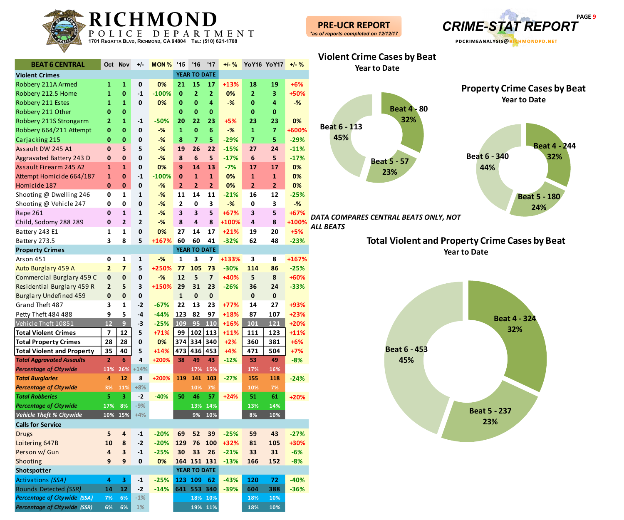

| <b>BEAT 6 CENTRAL</b>               |                         | Oct Nov                 | +/-         | MON%           | '15                     | '16                     | '17                     | $+1 - %$ |                         | YoY16 YoY17    | $+1 - \%$      |                  |
|-------------------------------------|-------------------------|-------------------------|-------------|----------------|-------------------------|-------------------------|-------------------------|----------|-------------------------|----------------|----------------|------------------|
| <b>Violent Crimes</b>               |                         |                         |             |                |                         | <b>YEAR TO DATE</b>     |                         |          |                         |                |                |                  |
| Robbery 211A Armed                  | 1                       | $\mathbf 1$             | 0           | 0%             | 21                      | 15                      | 17                      | $+13%$   | 18                      | 19             | $+6%$          |                  |
| Robbery 212.5 Home                  | 1                       | $\bf{0}$                | $-1$        | $-100%$        | $\bf{0}$                | $\overline{2}$          | $\overline{2}$          | 0%       | $\overline{2}$          | 3              | +50%           |                  |
| Robbery 211 Estes                   | 1                       | 1                       | $\mathbf 0$ | 0%             | 0                       | 0                       | 4                       | $-%$     | 0                       | 4              | $-%$           |                  |
| Robbery 211 Other                   | 0                       | $\bf{0}$                |             |                | $\mathbf 0$             | $\pmb{0}$               | 0                       |          | $\bf{0}$                | 0              |                |                  |
| Robbery 211S Strongarm              | 2                       | $\mathbf{1}$            | $-1$        | $-50%$         | 20                      | 22                      | 23                      | $+5%$    | 23                      | 23             | 0%             |                  |
| Robbery 664/211 Attempt             | 0                       | $\mathbf{0}$            | 0           | $-%$           | 1                       | $\mathbf{0}$            | 6                       | $-%$     | $\mathbf{1}$            | $\overline{7}$ | +600%          | Beat 6           |
| Carjacking 215                      | 0                       | $\bf{0}$                | 0           | $-%$           | 8                       | $\overline{\mathbf{z}}$ | 5                       | $-29%$   | $\overline{\mathbf{z}}$ | 5              | $-29%$         | 45%              |
| Assault DW 245 A1                   | $\bf{0}$                | 5                       | 5           | $-\frac{9}{6}$ | 19                      | 26                      | 22                      | $-15%$   | 27                      | 24             | $-11%$         |                  |
| Aggravated Battery 243 D            | 0                       | $\mathbf{0}$            | 0           | $-%$           | 8                       | 6                       | 5                       | $-17%$   | $\boldsymbol{6}$        | 5              | $-17%$         |                  |
| Assault Firearm 245 A2              | 1                       | $\mathbf{1}$            | 0           | 0%             | 9                       | 14                      | 13                      | $-7%$    | 17                      | 17             | 0%             |                  |
| Attempt Homicide 664/187            | $\mathbf{1}$            | $\bf{0}$                | $-1$        | $-100%$        | $\mathbf{0}$            | $\mathbf{1}$            | $\mathbf{1}$            | 0%       | 1                       | $\mathbf{1}$   | 0%             |                  |
| Homicide 187                        | 0                       | $\bf{0}$                | $\pmb{0}$   | $-$ %          | $\overline{2}$          | $\overline{2}$          | $\mathbf{2}$            | 0%       | $\overline{2}$          | $\overline{2}$ | 0%             |                  |
| Shooting @ Dwelling 246             | $\mathbf 0$             | 1                       | 1           | $-$ %          | 11                      | 14                      | 11                      | $-21%$   | 16                      | 12             | $-25%$         |                  |
| Shooting @ Vehicle 247              | 0                       | 0                       | 0           | $-%$           | $\overline{2}$          | 0                       | 3                       | $-%$     | 0                       | 3              | $-\frac{9}{6}$ |                  |
| Rape 261                            | 0                       | $\mathbf{1}$            | 1           | $-%$           | $\overline{\mathbf{3}}$ | 3                       | 5                       | +67%     | 3                       | 5              | +67%           | <b>DATA CON</b>  |
| Child, Sodomy 288 289               | 0                       | $\mathbf{2}$            | 2           | $-%$           | 8                       | 4                       | 8                       | +100%    | 4                       | 8              | +100%          |                  |
| Battery 243 E1                      | 1                       | 1                       | 0           | 0%             | 27                      | 14                      | 17                      | $+21%$   | 19                      | 20             | $+5%$          | <b>ALL BEATS</b> |
| Battery 273.5                       | 3                       | 8                       | 5           | +167%          | 60                      | 60                      | 41                      | $-32%$   | 62                      | 48             | $-23%$         |                  |
| <b>Property Crimes</b>              |                         |                         |             |                |                         | <b>YEAR TO DATE</b>     |                         |          |                         |                |                |                  |
| Arson 451                           | 0                       | $\mathbf{1}$            | 1           | $-%$           | $\mathbf{1}$            | 3                       | 7                       | +133%    | 3                       | 8              | +167%          |                  |
| Auto Burglary 459 A                 | $\overline{2}$          | $\overline{\mathbf{z}}$ | 5           | +250%          | 77                      | 105                     | 73                      | $-30%$   | 114                     | 86             | $-25%$         |                  |
| Commercial Burglary 459 C           | $\pmb{0}$               | $\mathbf 0$             | 0           | $-$ %          | 12                      | 5                       | $\overline{\mathbf{z}}$ | +40%     | 5                       | 8              | +60%           |                  |
| Residential Burglary 459 R          | $\mathbf{2}$            | 5                       | 3           | +150%          | 29                      | 31                      | 23                      | $-26%$   | 36                      | 24             | $-33%$         |                  |
| <b>Burglary Undefined 459</b>       | 0                       | $\mathbf 0$             | 0           |                | $\mathbf{1}$            | $\mathbf{0}$            | $\pmb{0}$               |          | $\bf{0}$                | 0              |                |                  |
| Grand Theft 487                     | 3                       | 1                       | $-2$        | $-67%$         | 22                      | 13                      | 23                      | $+77%$   | 14                      | 27             | +93%           |                  |
| Petty Theft 484 488                 | 9                       | 5                       | -4          | $-44%$         | 123                     | 82                      | 97                      | +18%     | 87                      | 107            | $+23%$         |                  |
| Vehicle Theft 10851                 | 12                      | $\overline{9}$          | $-3$        | $-25%$         | 109                     | 95                      | 110                     | $+16%$   | 101                     | 121            | $+20%$         |                  |
| <b>Total Violent Crimes</b>         | $\overline{\mathbf{z}}$ | 12                      | 5           | $+71%$         | 99                      |                         | $102$ 113               | $+11%$   | 111                     | 123            | $+11%$         |                  |
| <b>Total Property Crimes</b>        | 28                      | 28                      | $\pmb{0}$   | 0%             |                         | 374 334 340             |                         | $+2%$    | 360                     | 381            | $+6%$          |                  |
| <b>Total Violent and Property</b>   | 35                      | 40                      | 5           | $+14%$         | 473                     |                         | 436 453                 | $+4%$    | 471                     | 504            | $+7%$          |                  |
| <b>Total Aggravated Assaults</b>    | $\overline{2}$          | 6                       | 4           | +200%          | 38                      | 49                      | 43                      | $-12%$   | 53                      | 49             | $-8%$          |                  |
| <b>Percentage of Citywide</b>       | 13%                     | 26%                     | $+14%$      |                |                         | 17%                     | 15%                     |          | 17%                     | 16%            |                |                  |
| <b>Total Burglaries</b>             | 4                       | 12                      | 8           | +200%          | 119                     | 141                     | 103                     | $-27%$   | 155                     | 118            | $-24%$         |                  |
| <b>Percentage of Citywide</b>       | 3%                      | 11%                     | $+8%$       |                |                         | 10%                     | 7%                      |          | 10%                     | 7%             |                |                  |
| <b>Total Robberies</b>              | 5                       | 3                       | $-2$        | $-40%$         | 50                      | 46                      | 57                      | $+24%$   | 51                      | 61             | $+20%$         |                  |
| <b>Percentage of Citywide</b>       | 17%                     | 8%                      | $-9%$       |                |                         | 13%                     | 14%                     |          | 13%                     | 14%            |                |                  |
| Vehicle Theft % Citywide            |                         | 10% 15%                 | $+4%$       |                |                         | 9%                      | 10%                     |          | 8%                      | 10%            |                |                  |
| <b>Calls for Service</b>            |                         |                         |             |                |                         |                         |                         |          |                         |                |                |                  |
| <b>Drugs</b>                        | 5                       | $\overline{\mathbf{4}}$ | $-1$        | $-20%$         | 69                      | 52                      | 39                      | $-25%$   | 59                      | 43             | $-27%$         |                  |
| Loitering 647B                      | 10                      | 8                       | $-2$        | $-20%$         | 129                     | 76                      | 100                     | +32%     | 81                      | 105            | +30%           |                  |
| Person w/ Gun                       | 4                       | 3                       | $-1$        | $-25%$         | 30                      | 33                      | 26                      | $-21%$   | 33                      | 31             | $-6%$          |                  |
| Shooting                            | 9                       | $\mathbf{9}$            | 0           | 0%             |                         | 164 151 131             |                         | $-13%$   | 166                     | 152            | $-8%$          |                  |
| Shotspotter                         |                         |                         |             |                |                         | <b>YEAR TO DATE</b>     |                         |          |                         |                |                |                  |
| Activations (SSA)                   | 4                       | 3                       | $-1$        | $-25%$         |                         | 123 109 62              |                         | $-43%$   | 120                     | 72             | $-40%$         |                  |
| Rounds Detected (SSR)               | 14                      | 12                      | $-2$        | $-14%$         |                         | 641 553 340             |                         | $-39%$   | 604                     | 388            | $-36%$         |                  |
| <b>Percentage of Citywide (SSA)</b> | 7%                      | 6%                      | $-1%$       |                |                         |                         | 18% 10%                 |          | 18%                     | 10%            |                |                  |

*Percentage of Citywide (SSR)* **6 % 6 % 1% 19% 11% 18% 10%**

*\*as of reports completed on 12/12/17*



### **Violent Crime Cases by Beat Year to Date**



*DATA COMPARES CENTRAL BEATS ONLY, NOT* 

**Total Violent and Property Crime Cases by Beat Year to Date**

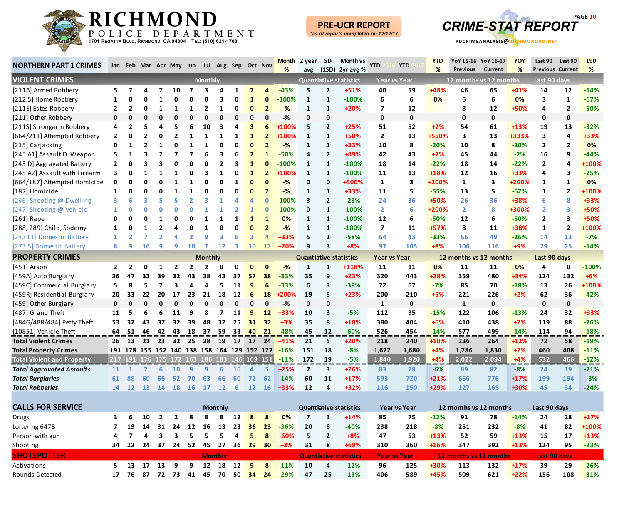



| <b>NORTHERN PART 1 CRIMES</b>     |              |                | Jan Feb Mar Apr May Jun Jul Aug Sep Oct Nov |                         |              |    |                |                |              |           |                  | Month                                 | 2 year         | <b>SD</b>    | Month vs                                           | <b>YTD</b>              | <b>YTD</b>          | <b>YTD</b><br>% | <b>Previous</b> | YoY 15-16 YoY 16-17<br>Current | <b>YOY</b> | Last 90<br><b>Previous Current</b> | Last 90        | L90     |
|-----------------------------------|--------------|----------------|---------------------------------------------|-------------------------|--------------|----|----------------|----------------|--------------|-----------|------------------|---------------------------------------|----------------|--------------|----------------------------------------------------|-------------------------|---------------------|-----------------|-----------------|--------------------------------|------------|------------------------------------|----------------|---------|
| <b>VIOLENT CRIMES</b>             |              |                |                                             |                         |              |    | <b>Monthly</b> |                |              |           |                  | %                                     | avg            |              | $(1SD)$ 2yr avg %<br><b>Quantiative statistics</b> |                         | Year vs Year        |                 |                 | 12 months vs 12 months         | %          | Last 90 days                       |                | %       |
| [211A] Armed Robbery              | 5.           | 7              |                                             |                         | 10           | 7  | з              |                |              |           |                  | $-43%$                                | 5              | 2            | $+51%$                                             | 40                      | 59                  | +48%            | 46              | 65                             | $+41%$     | 14                                 | 12             | $-14%$  |
| [212.5] Home Robbery              | 1            | n              | 0                                           |                         |              |    | 0              |                |              |           | O                | $-100%$                               | 1              | 1            | $-100%$                                            | 6                       | 6                   | 0%              | 6               | 6                              | 0%         | 3                                  | 1              | $-67%$  |
| [211E] Estes Robbery              | $\mathbf{2}$ | $\mathbf{2}$   | 0                                           | -1                      | -1           | 1  | 2              |                |              | O         |                  | $-%$                                  | 1              | 1            | $+20%$                                             | 7                       | 12                  |                 | 8               | 12                             | +50%       | 4                                  | $\overline{2}$ | $-50%$  |
| [211] Other Robbery               | 0            | 0              | O                                           | 0                       | n            |    | 0              | በ              |              | O         |                  | -%                                    | 0              | 0            |                                                    | $\mathbf 0$             | 0                   |                 | $\mathbf 0$     | 0                              |            | 0                                  | 0              |         |
| [211S] Strongarm Robbery          |              | $\overline{2}$ |                                             |                         | 5            |    | 10             |                |              |           |                  | +100%                                 | 5              | 2            | $+25%$                                             | 51                      | 52                  | $+2%$           | 54              | 61                             | $+13%$     | 19                                 | 13             | $-32%$  |
| [664/211] Attempted Robbery       | $\mathbf{2}$ | ი              |                                             |                         |              |    |                |                |              |           |                  | +100%                                 | 1              | 1            | +50%                                               | $\overline{2}$          | 13                  | +550%           | 3               | 13                             | +333%      | 3                                  | 4              | +33%    |
| [215] Carjacking                  |              |                |                                             |                         |              |    |                |                |              |           |                  | $-%$                                  | 1              | 1            | +33%                                               | 10                      | 8                   | $-20%$          | 10              | 8                              | $-20%$     | 2                                  | $\overline{2}$ | 0%      |
| [245 A1] Assault D. Weapon        |              |                |                                             |                         |              |    |                |                |              |           |                  | $-50%$                                | 4              | 2            | +89%                                               | 42                      | 43                  | $+2%$           | 45              | 44                             | $-2%$      | 16                                 | 9              | $-44%$  |
| [243 D] Aggravated Battery        | $\mathbf{2}$ | 0              |                                             |                         |              | O  |                |                |              |           |                  | $-100\%$                              | 1              | 1            | $-100%$                                            | 18                      | 14                  | $-22%$          | 18              | 14                             | $-22%$     | $\mathbf{2}$                       | 4              | +100%   |
| [245 A2] Assault with Firearm     | 3            | 0              |                                             | 1                       | -1           | 0  | 3              |                |              |           |                  | +100%                                 | 1              | 1            | $-100%$                                            | 11                      | 13                  | +18%            | 12              | 16                             | +33%       | 4                                  | 3              | $-25%$  |
| [664/187] Attempted Homicide      | 0            | 0              |                                             |                         | -1           | 1  | 0              | ი              |              |           | O                | $-%$                                  | 0              | 0            | +500%                                              | $\mathbf{1}$            | 3                   | +200%           | 1               | 3                              | +200%      | 1                                  | $\mathbf{1}$   | 0%      |
| [187] Homicide                    |              | 0              | ŋ                                           | O                       |              | -1 | U              |                |              | O         |                  | $-%$                                  | 1              | -1           | $+33%$                                             | 11                      | 5                   | $-55%$          | 13              | 5                              | $-62%$     | 1                                  | 2              | +100%   |
| [246] Shooting @ Dwelling         | з            | 6              |                                             |                         |              |    |                |                |              |           |                  | $-100%$                               | 3              | 2            | $-23%$                                             | 24                      | 36                  | +50%            | 26              | 36                             | +38%       | 6                                  | 8              | +33%    |
| [247] Shooting @ Vehicle          |              | Ω              |                                             |                         |              |    |                |                |              |           |                  | $-100%$                               | 0              | 1            | $-100%$                                            | $\mathbf{2}$            | 6                   | +200%           | $\mathbf{2}^-$  | 8                              | +300%      | $\mathbf{2}$                       | 3              | +50%    |
| [261] Rape                        |              |                |                                             |                         |              |    |                |                |              |           |                  | 0%                                    | 1              | 1            | $-100%$                                            | 12                      | 6                   | $-50%$          | 12              | 6                              | $-50%$     | $\mathbf{2}$                       | 3              | +50%    |
| [288, 289] Child, Sodomy          | 1            |                |                                             |                         |              |    |                |                |              |           |                  | $-%$                                  | 1              | 1            | $-100%$                                            | $\overline{\mathbf{z}}$ | 11                  | $+57%$          | 8               | 11                             | +38%       | 1                                  | 2              | +100%   |
| [243 E1] Domestic Battery         |              | 2              |                                             |                         |              |    | q              |                |              |           |                  | +33%                                  | 5              | 2            | $-58%$                                             | 64                      | 43                  | $-33%$          | 66              | 49                             | $-26%$     | 14                                 | 13             | $-7%$   |
| [273.5] Domestic Battery          | 8            | 9              | <b>16</b>                                   | 9                       | 9            | 10 |                | 12             | з            | <b>10</b> | 12               | $+20%$                                |                | 3            | $+8%$                                              | 97                      | 105                 | $+8%$           | 106             | 116                            | +9%        | 29                                 | 25             | $-14%$  |
| <b>PROPERTY CRIMES</b>            |              |                |                                             |                         |              |    | <b>Monthly</b> |                |              |           |                  |                                       |                |              | <b>Quantiative statistics</b>                      | <b>Year vs Year</b>     |                     |                 |                 | 12 months vs 12 months         |            | Last 90 days                       |                |         |
| [451] Arson                       | 2            |                |                                             |                         |              |    |                |                |              |           | $\mathbf 0$      | -%                                    |                |              | +118%                                              | 11                      | 11                  | 0%              | 11              | 11                             | 0%         | 4                                  | 0              | $-100%$ |
| [459A] Auto Burglary              | 36           | 47             | 33                                          | 39                      | 32           | 43 | 38             | 43             | 37           | 57        | 38               | $-33%$                                | 35             | 9            | $+23%$                                             | 320                     | 443                 | +38%            | 359             | 480                            | +34%       | 124                                | 132            | $+6%$   |
| [459C] Commercial Burglary        | 5            | 8              |                                             |                         | 3            | 4  | 4              | 5              | 11           | 9         | 6                | $-33%$                                | 6              | 3            | $-38%$                                             | 72                      | 67                  | $-7%$           | 85              | 70                             | $-18%$     | 13                                 | 26             | +100%   |
| [459R] Residential Burglary       | 20           | 33             | 22                                          | 20                      | 17           | 23 | 21             | 18             | 12           | 6         | 18               | $+200%$                               | 19             |              | $+23%$                                             | 200                     | 210                 | $+5%$           | 221             | 226                            | $+2%$      | 62                                 | 36             | $-42%$  |
| [459] Other Burglary              | 0            | 0              | ŋ                                           | 0                       | 0            | O  | 0              | ი              |              | ŋ         | n                | -%                                    | 0              | 0            |                                                    | $\mathbf{1}$            | 0                   |                 | $\mathbf{1}$    | 0                              |            | 0                                  | 0              |         |
| [487] Grand Theft                 | 11           | 5              |                                             |                         | 11           | 9  | 8              |                | 11           | 9         | 12               | +33%                                  | 10             | 3            | $-5%$                                              | 112                     | 95                  | $-15%$          | 122             | 106                            | $-13%$     | 24                                 | 32             | +33%    |
| [484G/488/484] Petty Theft        | 53           | 32             | 43                                          | 37                      | 32           | 39 | 48             | 32             | 25           | 31        | 32               | $+3%$                                 | 35             | 8            | $+10%$                                             | 380                     | 404                 | $+6%$           | 410             | 438                            | $+7%$      | 119                                | 88             | $-26%$  |
| [10851] Vehicle Theft             | 64           | 51             | 46                                          | 42                      | 43           | 18 | 37             | 59             | 33           | -40       | 21               | $-48%$                                | 45             | 12           | $-60%$                                             | 526                     | 454                 | $-14%$          | 577             | 499                            | $-14%$     | 114                                | 94             | $-18%$  |
| <b>Total Violent Crimes</b>       | 26           | 13             | 21                                          | 23                      | 32           | 25 | 28             | 19             | 17           | 17        | 24               | $+41%$                                | 21             | 5            | $+20%$                                             | 218                     | 240                 | +10%            | 236             | 264                            | $+12%$     | 72                                 | 58             | $-19%$  |
| <b>Total Property Crimes</b>      |              |                | 191 178 155 152 140 138 158 164 129 152 127 |                         |              |    |                |                |              |           |                  | $-16%$                                | 151            | 18           | $-8%$                                              | 1,622                   | 1,680               | $+4%$           | 1,786           | 1,830                          | $+2%$      | 460                                | 408            | $-11%$  |
| <b>Total Violent and Property</b> |              |                | 217 191 176 175 172 163 186 183 146 169 151 |                         |              |    |                |                |              |           |                  | $-11%$                                | 172            | 19           | $-5%$                                              | 1,840                   | 1,920               | $+4%$           | 2,022           | 2,094                          | $+4%$      | 532                                | 466            | $-12%$  |
| <b>Total Aggravated Assaults</b>  | <b>11</b>    |                |                                             |                         | 10           |    |                |                | 10           |           |                  | $+25%$                                | 7              | 3            | $+26%$                                             | 83                      | 78                  | $-6%$           | 89              | 82                             | $-8%$      | 24                                 | 19             | $-21%$  |
| <b>Total Burglaries</b>           | 61           | 88             | 60                                          | 66                      | 52           | 70 | 63             | 66             | 60           | 72        | 62               | $-14%$                                | 60             | 11           | $+17%$                                             | 593                     | 720                 | $+21%$          | 666             | 776                            | $+17%$     | 199                                | 194            | $-3%$   |
| <b>Total Robberies</b>            |              |                | 14 12 13 14 18 16 17 12 6                   |                         |              |    |                |                |              |           |                  | 12 16 +33%                            | 12             | 4            | $+32%$                                             | <b>116</b>              | 150                 | +29%            | <b>127</b>      | 165                            | +30%       | 45                                 | 34             | $-24%$  |
|                                   |              |                |                                             |                         |              |    |                |                |              |           |                  |                                       |                |              |                                                    |                         |                     |                 |                 |                                |            |                                    |                |         |
| <b>CALLS FOR SERVICE</b>          |              |                |                                             |                         |              |    |                | <b>Monthly</b> |              |           |                  |                                       |                |              | <b>Quantiative statistics</b>                      |                         | Year vs Year        |                 |                 | 12 months vs 12 months         |            | Last 90 days                       |                |         |
| Drugs                             | З.           | 6              | 10                                          | $\overline{2}$          | $\mathbf{2}$ | 8  | 8              | 8              | 12           | 8         | 8                | 0%                                    | $\overline{7}$ | 3            | $+14%$                                             | 85                      | 75                  | $-12%$          | 91              | 78                             | $-14%$     | 24                                 | 28             | $+17%$  |
| Loitering 647B                    | 7            | 19             | 14                                          | 31                      | 24           | 12 | 16             | 13             | 23           | 36        | 23               | $-36%$                                | 20             | 8            | $-40%$                                             | 238                     | 218                 | $-8%$           | 251             | 232                            | $-8%$      | 41                                 | 82             | +100%   |
| Person with gun                   | 4            | 7              | $\overline{4}$                              | $\overline{\mathbf{3}}$ | 3            | 5  | 5              | 5              | 4            | 5         | $\boldsymbol{8}$ | +60%                                  | 5              | $\mathbf{2}$ | $+8%$                                              | 47                      | 53                  | $+13%$          | 52              | 59                             | $+13%$     | 15                                 | 17             | $+13%$  |
| Shooting                          | 34           |                | 22 24 37 24 52 45 27 36 29 30               |                         |              |    |                |                |              |           |                  | $+3%$                                 | 31             | 8            | +69%                                               | 310                     | 360                 | +16%            | 347             | 392                            | $+13%$     | 124                                | 95             | $-23%$  |
| <b>SHOTSPOTTER</b>                |              |                |                                             |                         |              |    | <b>Monthly</b> |                |              |           |                  |                                       |                |              | <b>Quantiative statistics</b>                      |                         | <b>Year vs Year</b> |                 |                 | 12 months vs 12 months         |            | Last 90 days                       |                |         |
| Activations                       |              |                | 5 13 17 13 9 9                              |                         |              |    |                |                | 12 18 12 9 8 |           |                  | $-11%$                                | 10             | 4            | $-12%$                                             | 96                      | 125                 | +30%            | 113             | 132                            | $+17%$     | 39                                 | 29             | $-26%$  |
| Rounds Detected                   |              |                |                                             |                         |              |    |                |                |              |           |                  | 17 76 87 72 73 41 45 70 50 34 24 -29% | 47             | 25           | $-13%$                                             | 406                     | 589                 | +45%            | 509             | 621                            | $+22%$     | 156                                | 108            | $-31%$  |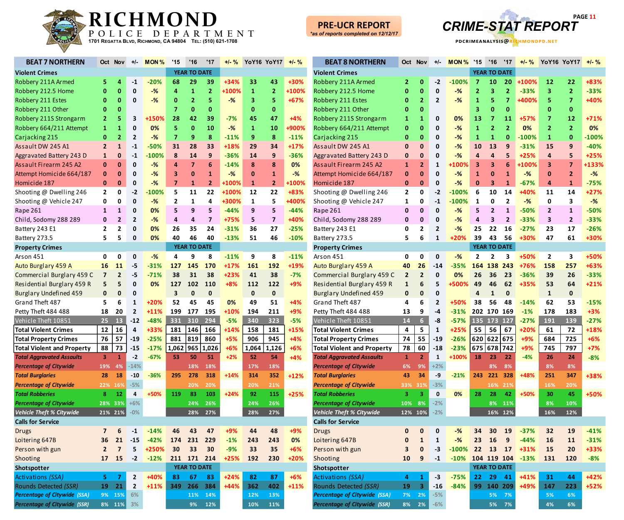

# **PRE-UCR REPORT**



*\*as of reports completed on 12/12/17*

| <b>BEAT 7 NORTHERN</b>                                       |                         | Oct Nov                 | +/-                     | MON%    | '15            | '16                 | '17                     | $+1 - %$       |            | YoY16 YoY17             | $+/-$ % | <b>BEAT 8 NO</b>                                  |
|--------------------------------------------------------------|-------------------------|-------------------------|-------------------------|---------|----------------|---------------------|-------------------------|----------------|------------|-------------------------|---------|---------------------------------------------------|
| <b>Violent Crimes</b>                                        |                         |                         |                         |         |                | <b>YEAR TO DATE</b> |                         |                |            |                         |         | <b>Violent Crimes</b>                             |
| Robbery 211A Armed                                           | 5                       | 4                       | $-1$                    | $-20%$  | 68             | 29                  | 39                      | $+34%$         | 33         | 43                      | +30%    | Robbery 211A A                                    |
| Robbery 212.5 Home                                           | 0                       | $\mathbf 0$             | 0                       | $-$ %   | 4              | $\mathbf{1}$        | $\overline{2}$          | +100%          | 1          | $\overline{2}$          | +100%   | Robbery 212.5                                     |
| Robbery 211 Estes                                            | 0                       | $\mathbf 0$             | 0                       | $-$ %   | 0              | $\overline{2}$      | 5                       | $-%$           | 3          | 5                       | $+67%$  | Robbery 211 Es                                    |
| Robbery 211 Other                                            | 0                       | $\bf{0}$                |                         |         | $\overline{7}$ | $\bf{0}$            | $\mathbf{0}$            |                | 0          | 0                       |         | Robbery 211 Ot                                    |
| Robbery 211S Strongarm                                       | 2                       | 5                       | 3                       | +150%   | 28             | 42                  | 39                      | $-7%$          | 45         | 47                      | $+4%$   | Robbery 211SS                                     |
| Robbery 664/211 Attempt                                      | 1                       | $\mathbf{1}$            | 0                       | 0%      | 5              | 0                   | 10                      | $-%$           | 1          | 10                      | +900%   | Robbery 664/2:                                    |
| Carjacking 215                                               | 0                       | $\overline{2}$          | $\mathbf{2}$            | $-$ %   | $\overline{7}$ | 9                   | ${\bf 8}$               | $-11%$         | 9          | 8                       | $-11%$  | Carjacking 215                                    |
| Assault DW 245 A1                                            | $\overline{2}$          | $\mathbf{1}$            | $-1$                    | $-50%$  | 31             | 28                  | 33                      | +18%           | 29         | 34                      | $+17%$  | Assault DW 245                                    |
| Aggravated Battery 243 D                                     | 1                       | $\pmb{0}$               | $-1$                    | $-100%$ | 8              | 14                  | 9                       | $-36%$         | 14         | $\boldsymbol{9}$        | $-36%$  | Aggravated Batt                                   |
| Assault Firearm 245 A2                                       | 0                       | $\mathbf 0$             | 0                       | $-$ %   | 4              | $\overline{7}$      | 6                       | $-14%$         | 8          | 8                       | 0%      | Assault Firearn                                   |
| Attempt Homicide 664/187                                     | 0                       | $\bf{0}$                | 0                       | $-$ %   | 3              | $\bf{0}$            | $\mathbf{1}$            | $-\frac{9}{6}$ | 0          | $\mathbf{1}$            | $-$ %   | <b>Attempt Homici</b>                             |
| Homicide 187                                                 | 0                       | $\mathbf{0}$            | 0                       | $-$ %   | $\overline{7}$ | $\mathbf 1$         | $\overline{2}$          | +100%          | 1          | $\overline{2}$          | +100%   | Homicide 187                                      |
| Shooting @ Dwelling 246                                      | 2                       | 0                       | $-2$                    | $-100%$ | 5              | 11                  | 22                      | +100%          | 12         | 22                      | +83%    | Shooting @ Dw                                     |
| Shooting @ Vehicle 247                                       | 0                       | 0                       | 0                       | $-$ %   | $\mathbf{2}$   | $\mathbf{1}$        | 4                       | +300%          | 1          | 5                       | +400%   | Shooting @ Veh                                    |
| Rape 261                                                     | 1                       | $\mathbf{1}$            | 0                       | 0%      | 5              | 9                   | 5                       | $-44%$         | 9          | 5                       | $-44%$  | Rape 261                                          |
| Child, Sodomy 288 289                                        | 0                       | $\overline{2}$          | $\overline{2}$          | $-$ %   | 4              | 4                   | $\overline{\mathbf{z}}$ | +75%           | 5          | $\overline{\mathbf{z}}$ | +40%    | Child, Sodomy 2                                   |
| Battery 243 E1                                               | 2                       | $\overline{\mathbf{c}}$ | 0                       | 0%      | 26             | 35                  | 24                      | $-31%$         | 36         | 27                      | $-25%$  | Battery 243 E1                                    |
| Battery 273.5                                                | 5                       | 5                       | 0                       | 0%      | 40             | 46                  | 40                      | $-13%$         | 51         | 46                      | $-10%$  | Battery 273.5                                     |
| <b>Property Crimes</b>                                       |                         |                         |                         |         |                | YEAR TO DATE        |                         |                |            |                         |         | <b>Property Crime</b>                             |
| Arson 451                                                    | $\mathbf 0$             | 0                       | 0                       | $-$ %   | 4              | 9                   | 8                       | $-11%$         | 9          | 8                       | $-11%$  | Arson 451                                         |
| Auto Burglary 459 A                                          | 16                      | 11                      | $-5$                    | $-31%$  | 127            | 145                 | 170                     | $+17%$         | 161        | 192                     | +19%    | <b>Auto Burglary 4</b>                            |
| Commercial Burglary 459 C                                    | $\overline{\mathbf{z}}$ | $\mathbf 2$             | $-5$                    | $-71%$  | 38             | 31                  | 38                      | +23%           | 41         | 38                      | $-7%$   | Commercial Bu                                     |
| Residential Burglary 459 R                                   | 5                       | 5                       | 0                       | 0%      | 127            | 102                 | 110                     | $+8%$          | 112        | 122                     | +9%     | Residential Bur                                   |
| <b>Burglary Undefined 459</b>                                | 0                       | $\pmb{0}$               | 0                       |         | 3              | $\pmb{0}$           | $\pmb{0}$               |                | 0          | $\pmb{0}$               |         | <b>Burglary Undefi</b>                            |
| Grand Theft 487                                              | 5                       | 6                       | $\mathbf{1}$            | $+20%$  | 52             | 45                  | 45                      | 0%             | 49         | 51                      | $+4%$   | Grand Theft 487                                   |
| Petty Theft 484 488                                          | 18                      | 20                      | $\mathbf{2}$            | $+11%$  | 199            | 177                 | 195                     | $+10%$         | 194        | 211                     | +9%     | Petty Theft 484                                   |
| Vehicle Theft 10851                                          | 25                      | 13                      | $-12$                   | $-48%$  | 331            | 310                 | 294                     | $-5%$          | 340        | 323                     | $-5%$   | Vehicle Theft 10                                  |
| <b>Total Violent Crimes</b>                                  | 12                      | 16                      | $\overline{\mathbf{4}}$ | +33%    | 181            | 146                 | 166                     | $+14%$         | 158        | 181                     | $+15%$  | <b>Total Violent Cr</b>                           |
| <b>Total Property Crimes</b>                                 | 76                      | 57                      | $-19$                   | $-25%$  | 881            | 819                 | 860                     | $+5%$          | 906        | 945                     | $+4%$   | Total Property                                    |
| <b>Total Violent and Property</b>                            | 88                      | 73                      | $-15$                   | $-17%$  | $1,062$ 965    |                     | 1,026                   | $+6%$          | 1,064      | 1,126                   | $+6%$   | <b>Total Violent ar</b>                           |
| <b>Total Aggravated Assaults</b>                             | 3                       | $\mathbf{1}$            | $-2$                    | $-67%$  | 53             | 50                  | 51                      | $+2%$          | 52         | 54                      | $+4%$   | <b>Total Aggravated</b>                           |
| <b>Percentage of Citywide</b>                                | 19%                     | 4%                      | $-14%$                  |         |                | 18%                 | 18%                     |                | 17%        | 18%                     |         | <b>Percentage of Cit</b>                          |
| <b>Total Burglaries</b>                                      | 28                      | 18                      | $-10$                   | $-36%$  | 295            | 278                 | 318                     | $+14%$         | 314        | 352                     | $+12%$  | <b>Total Burglaries</b>                           |
| <b>Percentage of Citywide</b>                                |                         | 22% 16%                 | $-5%$                   |         |                | 20%                 | 20%                     |                | 20%        | 21%                     |         | <b>Percentage of Cit</b>                          |
| <b>Total Robberies</b>                                       | 8                       | 12                      | 4                       | +50%    | 119            | 83                  | 103                     | $+24%$         | 92         | 115                     | $+25%$  | <b>Total Robberies</b>                            |
| <b>Percentage of Citywide</b>                                |                         | 28% 33%                 | $+6%$                   |         |                | 24%                 | 26%                     |                | 24%        | 26%                     |         | <b>Percentage of Cit</b>                          |
| <b>Vehicle Theft % Citywide</b>                              |                         | 21% 21%                 | $-0%$                   |         |                | 28%                 | 27%                     |                | 28%        | 27%                     |         | Vehicle Theft % 0                                 |
| <b>Calls for Service</b>                                     |                         |                         |                         |         |                |                     |                         |                |            |                         |         | <b>Calls for Service</b>                          |
| <b>Drugs</b>                                                 | $\boldsymbol{7}$        | $\boldsymbol{6}$        | $-1$                    | $-14%$  | 46             | 43                  | 47                      | $+9%$          | 44         | 48                      | +9%     | <b>Drugs</b>                                      |
| Loitering 647B                                               | 36                      | 21                      | $-15$                   | $-42%$  | 174            | 231                 | 229                     | $-1%$          | 243        | 243                     | 0%      | Loitering 647B                                    |
| Person with gun                                              | $\overline{2}$          | $\overline{7}$          | 5                       | +250%   | 30             | 33                  | 30                      | $-9%$          | 33         | 35                      | $+6%$   | Person with gur                                   |
| Shooting                                                     | 17                      | 15                      | $-2$                    | $-12%$  | 211            | 171                 | 214                     | $+25%$         | 192        | 230                     | +20%    | Shooting                                          |
| Shotspotter                                                  |                         |                         |                         |         |                | <b>YEAR TO DATE</b> |                         |                |            |                         |         | Shotspotter                                       |
|                                                              |                         | $\overline{7}$          |                         | +40%    |                | 67                  |                         | $+24%$         |            |                         | $+6%$   |                                                   |
| <b>Activations (SSA)</b>                                     | 5                       | 21                      | $\mathbf{2}$            |         | 83             |                     | 83                      |                | 82         | 87                      |         | Activations (SS/                                  |
| Rounds Detected (SSR)<br><b>Percentage of Citywide (SSA)</b> | 19<br>9%                | 15%                     | $\mathbf{2}$<br>6%      | $+11%$  | 349            | 266<br>11%          | 384<br>14%              | +44%           | 362<br>12% | 402<br>13%              | $+11%$  | <b>Rounds Detecte</b><br><b>Percentage of Cit</b> |
| <b>Percentage of Citywide (SSR)</b>                          | 8%                      | $11\%$                  | 3%                      |         |                | 9%                  | 12%                     |                | 10%        |                         |         | Percentage of Cit                                 |
|                                                              |                         |                         |                         |         |                |                     |                         |                |            | 11%                     |         |                                                   |

| <b>BEAT 8 NORTHERN</b>              |                | Oct Nov             | +/-            | <b>MON%</b>    | '15            | '16                     | '17              | $+/-$ % | <b>YoY16 YoY17</b> |                | $+/-$ % |
|-------------------------------------|----------------|---------------------|----------------|----------------|----------------|-------------------------|------------------|---------|--------------------|----------------|---------|
| <b>Violent Crimes</b>               |                | <b>YEAR TO DATE</b> |                |                |                |                         |                  |         |                    |                |         |
| Robbery 211A Armed                  | 2              | $\bf{0}$            | $-2$           | $-100%$        | 7              | 10                      | 20               | +100%   | 12                 | 22             | +83%    |
| Robbery 212.5 Home                  | 0              | $\bf{0}$            | 0              | $-$ %          | $\mathbf{2}$   | 3                       | $\overline{2}$   | $-33%$  | 3                  | $\overline{2}$ | $-33%$  |
| Robbery 211 Estes                   | 0              | $\mathbf{2}$        | $\overline{2}$ | $-%$           | 1              | 5                       | $\overline{7}$   | +400%   | 5                  | $\overline{7}$ | +40%    |
| Robbery 211 Other                   | 0              | 0                   |                |                | 3              | 0                       | $\bf{0}$         |         | 0                  | $\pmb{0}$      |         |
| Robbery 211S Strongarm              | 1              | $\mathbf{1}$        | 0              | 0%             | 13             | $\overline{7}$          | 11               | +57%    | $\overline{7}$     | 12             | $+71%$  |
| Robbery 664/211 Attempt             | 0              | $\bf{0}$            | 0              | $-%$           | $\mathbf{1}$   | $\overline{2}$          | $\overline{2}$   | 0%      | $\overline{2}$     | $\overline{2}$ | 0%      |
| Carjacking 215                      | 0              | 0                   | 0              | $-$ %          | 1              | $\mathbf{1}$            | $\bf{0}$         | $-100%$ | $\mathbf{1}$       | 0              | $-100%$ |
| Assault DW 245 A1                   | 0              | 0                   | 0              | $-%$           | 10             | 13                      | 9                | $-31%$  | 15                 | 9              | $-40%$  |
| Aggravated Battery 243 D            | 0              | 0                   | 0              | $-$ %          | $\overline{4}$ | $\overline{4}$          | 5                | $+25%$  | 4                  | 5              | $+25%$  |
| Assault Firearm 245 A2              | $\mathbf{1}$   | $\overline{2}$      | 1              | +100%          | 3              | 3                       | 6                | +100%   | 3                  | $\overline{7}$ | +133%   |
| Attempt Homicide 664/187            | 0              | $\bf{0}$            | 0              | $-$ %          | 1              | 0                       | $\mathbf{1}$     | $-$ %   | $\bf{0}$           | $\overline{2}$ | $-%$    |
| Homicide 187                        | 0              | $\mathbf 0$         | 0              | $-$ %          | $\mathbf{0}$   | 3                       | $\mathbf{1}$     | $-67%$  | 4                  | $\mathbf{1}$   | $-75%$  |
| Shooting @ Dwelling 246             | $\overline{2}$ | 0                   | $-2$           | $-100%$        | 6              | 10                      | 14               | +40%    | 11                 | 14             | $+27%$  |
| Shooting @ Vehicle 247              | $\mathbf{1}$   | 0                   | $-1$           | $-100%$        | 1              | 0                       | $\overline{2}$   | $-%$    | 0                  | 3              | $-%$    |
| Rape 261                            | 0              | $\mathbf 0$         | 0              | $-$ %          | 5              | $\overline{2}$          | $\mathbf{1}$     | $-50%$  | $\overline{2}$     | 1              | $-50%$  |
| Child, Sodomy 288 289               | 0              | $\mathbf 0$         | 0              | $-%$           | 4              | 3                       | $\overline{2}$   | $-33%$  | 3                  | $\mathbf{2}$   | $-33%$  |
| Battery 243 E1                      | 0              | $\overline{2}$      | $\overline{2}$ | $-$ %          | 25             | 22                      | 16               | $-27%$  | 23                 | 17             | $-26%$  |
| Battery 273.5                       | 5              | 6                   | $\mathbf{1}$   | $+20%$         | 39             | 43                      | 56               | +30%    | 47                 | 61             | +30%    |
| <b>Property Crimes</b>              |                |                     |                |                |                | <b>YEAR TO DATE</b>     |                  |         |                    |                |         |
| Arson 451                           | 0              | 0                   | $\mathbf 0$    | $-%$           | $\overline{2}$ | $\overline{\mathbf{c}}$ | 3                | +50%    | 2                  | 3              | +50%    |
| Auto Burglary 459 A                 | 40             | 26                  | $-14$          | $-35%$         | 164            | 138 243                 |                  | +76%    | 158                | 257            | +63%    |
| Commercial Burglary 459 C           | $\overline{2}$ | $\overline{2}$      | $\mathbf 0$    | 0%             | 26             | 36                      | 23               | $-36%$  | 39                 | 26             | $-33%$  |
| Residential Burglary 459 R          | $\mathbf{1}$   | 6                   | 5              | +500%          | 49             | 46                      | 62               | +35%    | 53                 | 64             | $+21%$  |
| <b>Burglary Undefined 459</b>       | 0              | $\mathbf 0$         | 0              |                | 4              | $\mathbf{1}$            | $\mathbf{0}$     |         | $\mathbf{1}$       | 0              |         |
| Grand Theft 487                     | 4              | 6                   | 2              | +50%           | 38             | 56                      | 48               | $-14%$  | 62                 | 53             | $-15%$  |
| Petty Theft 484 488                 | 13             | 9                   | $-4$           | $-31%$         | 202            | 170                     | 169              | $-1%$   | 178                | 183            | $+3%$   |
| Vehicle Theft 10851                 | 14             | $\boldsymbol{6}$    | -8             | $-57%$         | 135            | 173                     | 127              | $-27%$  | 191                | 139            | $-27%$  |
| <b>Total Violent Crimes</b>         | 4              | 5                   | $\mathbf{1}$   | $+25%$         | 55             | 56                      | 67               | +20%    | 61                 | 72             | +18%    |
| <b>Total Property Crimes</b>        | 74             | 55                  | $-19$          | $-26%$         | 620            | 622                     | 675              | +9%     | 684                | 725            | $+6%$   |
| <b>Total Violent and Property</b>   | 78             | 60                  | $-18$          | $-23%$         | 675            | 678                     | 742              | +9%     | 745                | 797            | $+7%$   |
| <b>Total Aggravated Assaults</b>    | 1              | $\overline{2}$      | $\mathbf{1}$   | +100%          | 18             | 23                      | 22               | $-4%$   | 26                 | 24             | $-8%$   |
| <b>Percentage of Citywide</b>       | 6%             | 9%                  | $+2%$          |                |                | 8%                      | 8%               |         | 8%                 | 8%             |         |
| <b>Total Burglaries</b>             | 43             | 34                  | -9             | $-21%$         | 243            | 221                     | 328              | +48%    | 251                | 347            | +38%    |
| <b>Percentage of Citywide</b>       | 33%            | 31%                 | $-3%$          |                |                | 16% 21%                 |                  |         | 16%                | 20%            |         |
| <b>Total Robberies</b>              | з              | 3                   | 0              | 0%             | 28             | 28                      | 42               | +50%    | 30                 | 45             | +50%    |
| <b>Percentage of Citywide</b>       | 10%            | 8%                  | $-2%$          |                |                | 8%                      | 11%              |         | 8%                 | 10%            |         |
| <b>Vehicle Theft % Citywide</b>     |                | 12% 10%             | $-2%$          |                |                |                         | 16% 12%          |         | 16%                | 12%            |         |
| <b>Calls for Service</b>            |                |                     |                |                |                |                         |                  |         |                    |                |         |
| <b>Drugs</b>                        | $\mathbf 0$    | $\bf{0}$            | 0              | $-\frac{9}{6}$ | 34             | 30                      | 19               | $-37%$  | 32                 | 19             | $-41%$  |
| Loitering 647B                      | 0              | $\mathbf 1$         | $\mathbf{1}$   | $-%$           | 23             | 16                      | $\boldsymbol{9}$ | $-44%$  | 16                 | 11             | $-31%$  |
| Person with gun                     | 3              | $\mathbf 0$         | -3             | $-100%$        | 22             | 13                      | 17               | +31%    | 15                 | 20             | +33%    |
| <b>Shooting</b>                     | 10             | $\boldsymbol{9}$    | $-1$           | $-10%$         |                | 104 119 104             |                  | $-13%$  | 131                | 120            | $-8%$   |
| <b>Shotspotter</b>                  |                |                     |                |                |                | <b>YEAR TO DATE</b>     |                  |         |                    |                |         |
| <b>Activations (SSA)</b>            | 4              | 1                   | $-3$           | $-75%$         | 22             | 29                      | 41               | $+41%$  | 31                 | 44             | +42%    |
| Rounds Detected (SSR)               | 19             | 3                   | $-16$          | $-84%$         | 99             | 140                     | 209              | +49%    | 147                | 223            | +52%    |
| <b>Percentage of Citywide (SSA)</b> | 7%             | 2%                  | $-5%$          |                |                | 5%                      | 7%               |         | 5%                 | 6%             |         |
| <b>Percentage of Citywide (SSR)</b> | 8%             | 2%                  | $-6%$          |                |                | 5%                      | 7%               |         | 4%                 | 6%             |         |
|                                     |                |                     |                |                |                |                         |                  |         |                    |                |         |